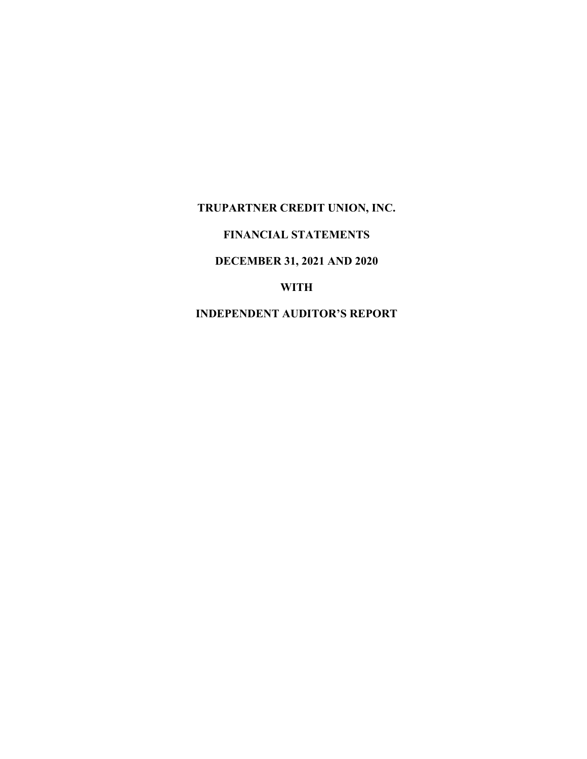# TRUPARTNER CREDIT UNION, INC.

# FINANCIAL STATEMENTS

# DECEMBER 31, 2021 AND 2020

# WITH

# INDEPENDENT AUDITOR'S REPORT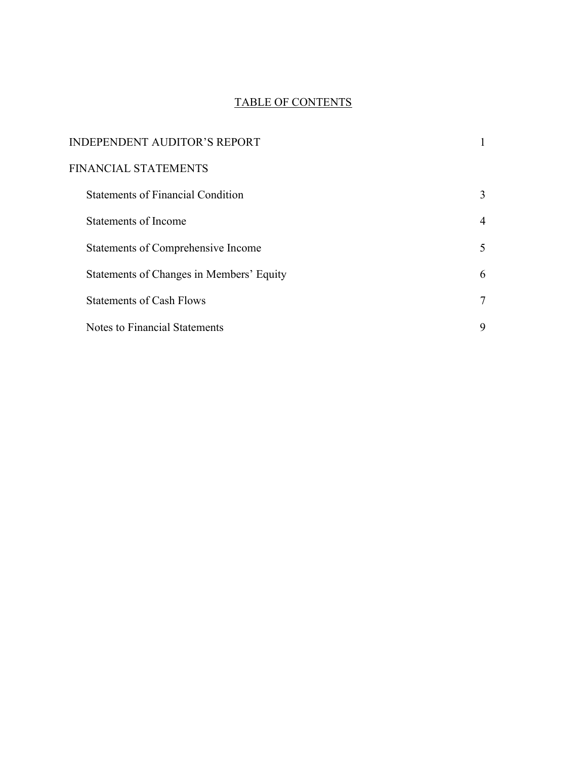# TABLE OF CONTENTS

| <b>INDEPENDENT AUDITOR'S REPORT</b>      |   |
|------------------------------------------|---|
| FINANCIAL STATEMENTS                     |   |
| <b>Statements of Financial Condition</b> | 3 |
| Statements of Income                     | 4 |
| Statements of Comprehensive Income       | 5 |
| Statements of Changes in Members' Equity | 6 |
| <b>Statements of Cash Flows</b>          | 7 |
| Notes to Financial Statements            | 9 |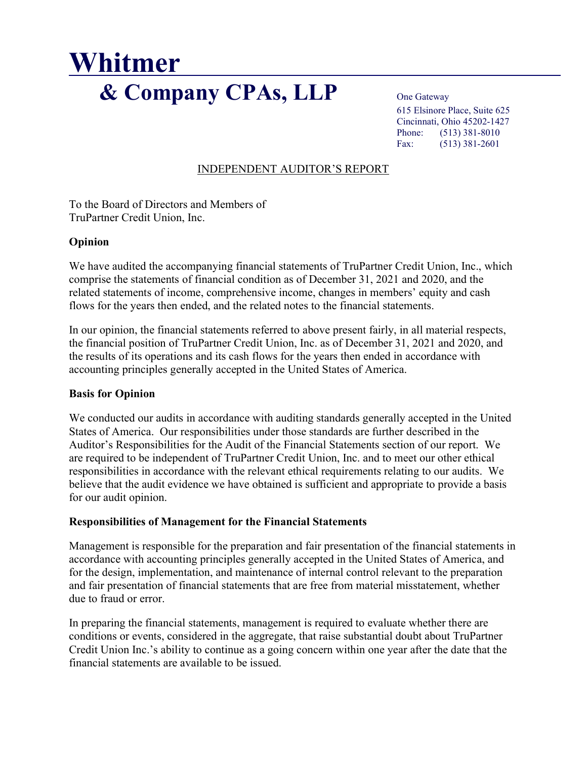# Whitmer & Company CPAs, LLP One Gateway

 615 Elsinore Place, Suite 625 Cincinnati, Ohio 45202-1427 Phone: (513) 381-8010 Fax: (513) 381-2601

# INDEPENDENT AUDITOR'S REPORT

To the Board of Directors and Members of TruPartner Credit Union, Inc.

#### Opinion

We have audited the accompanying financial statements of TruPartner Credit Union, Inc., which comprise the statements of financial condition as of December 31, 2021 and 2020, and the related statements of income, comprehensive income, changes in members' equity and cash flows for the years then ended, and the related notes to the financial statements.

In our opinion, the financial statements referred to above present fairly, in all material respects, the financial position of TruPartner Credit Union, Inc. as of December 31, 2021 and 2020, and the results of its operations and its cash flows for the years then ended in accordance with accounting principles generally accepted in the United States of America.

#### Basis for Opinion

We conducted our audits in accordance with auditing standards generally accepted in the United States of America. Our responsibilities under those standards are further described in the Auditor's Responsibilities for the Audit of the Financial Statements section of our report. We are required to be independent of TruPartner Credit Union, Inc. and to meet our other ethical responsibilities in accordance with the relevant ethical requirements relating to our audits. We believe that the audit evidence we have obtained is sufficient and appropriate to provide a basis for our audit opinion.

#### Responsibilities of Management for the Financial Statements

Management is responsible for the preparation and fair presentation of the financial statements in accordance with accounting principles generally accepted in the United States of America, and for the design, implementation, and maintenance of internal control relevant to the preparation and fair presentation of financial statements that are free from material misstatement, whether due to fraud or error.

In preparing the financial statements, management is required to evaluate whether there are conditions or events, considered in the aggregate, that raise substantial doubt about TruPartner Credit Union Inc.'s ability to continue as a going concern within one year after the date that the financial statements are available to be issued.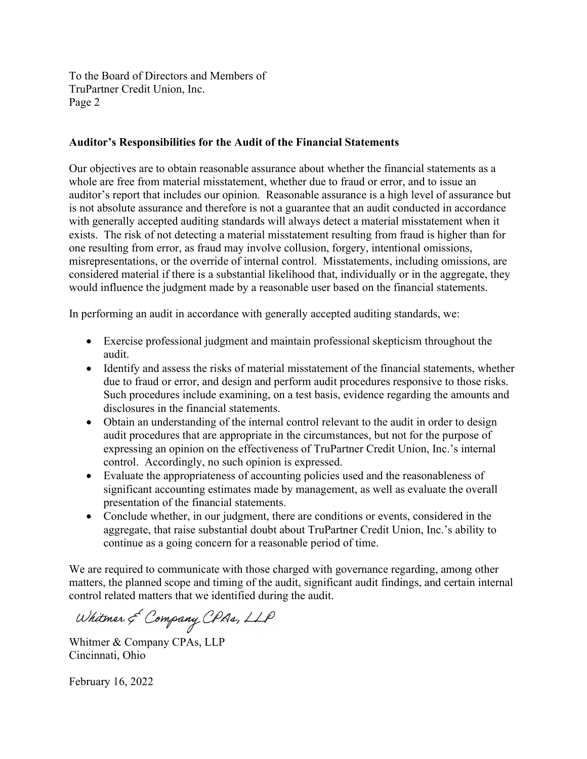To the Board of Directors and Members of TruPartner Credit Union, Inc. Page 2

#### Auditor's Responsibilities for the Audit of the Financial Statements

Our objectives are to obtain reasonable assurance about whether the financial statements as a whole are free from material misstatement, whether due to fraud or error, and to issue an auditor's report that includes our opinion. Reasonable assurance is a high level of assurance but is not absolute assurance and therefore is not a guarantee that an audit conducted in accordance with generally accepted auditing standards will always detect a material misstatement when it exists. The risk of not detecting a material misstatement resulting from fraud is higher than for one resulting from error, as fraud may involve collusion, forgery, intentional omissions, misrepresentations, or the override of internal control. Misstatements, including omissions, are considered material if there is a substantial likelihood that, individually or in the aggregate, they would influence the judgment made by a reasonable user based on the financial statements.

In performing an audit in accordance with generally accepted auditing standards, we:

- Exercise professional judgment and maintain professional skepticism throughout the audit.
- Identify and assess the risks of material misstatement of the financial statements, whether due to fraud or error, and design and perform audit procedures responsive to those risks. Such procedures include examining, on a test basis, evidence regarding the amounts and disclosures in the financial statements.
- Obtain an understanding of the internal control relevant to the audit in order to design audit procedures that are appropriate in the circumstances, but not for the purpose of expressing an opinion on the effectiveness of TruPartner Credit Union, Inc.'s internal control. Accordingly, no such opinion is expressed.
- Evaluate the appropriateness of accounting policies used and the reasonableness of significant accounting estimates made by management, as well as evaluate the overall presentation of the financial statements.
- Conclude whether, in our judgment, there are conditions or events, considered in the aggregate, that raise substantial doubt about TruPartner Credit Union, Inc.'s ability to continue as a going concern for a reasonable period of time.

We are required to communicate with those charged with governance regarding, among other matters, the planned scope and timing of the audit, significant audit findings, and certain internal control related matters that we identified during the audit.

Whitmer & Company CPAs, LLP

Whitmer & Company CPAs, LLP Cincinnati, Ohio

February 16, 2022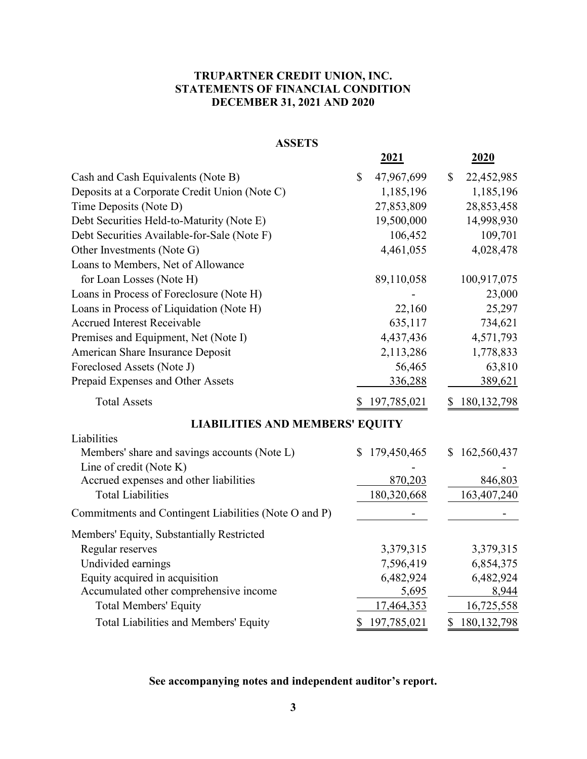# TRUPARTNER CREDIT UNION, INC. STATEMENTS OF FINANCIAL CONDITION DECEMBER 31, 2021 AND 2020

| TRUPARTNER CREDIT UNION, INC.<br><b>STATEMENTS OF FINANCIAL CONDITION</b><br><b>DECEMBER 31, 2021 AND 2020</b> |                            |                  |
|----------------------------------------------------------------------------------------------------------------|----------------------------|------------------|
| <b>ASSETS</b>                                                                                                  |                            |                  |
|                                                                                                                | <u>2021</u>                | <u>2020</u>      |
| Cash and Cash Equivalents (Note B)                                                                             | 47,967,699<br>$\mathbb{S}$ | 22,452,985<br>S. |
| Deposits at a Corporate Credit Union (Note C)                                                                  | 1,185,196                  | 1,185,196        |
| Time Deposits (Note D)                                                                                         | 27,853,809                 | 28,853,458       |
| Debt Securities Held-to-Maturity (Note E)                                                                      | 19,500,000                 | 14,998,930       |
| Debt Securities Available-for-Sale (Note F)                                                                    | 106,452                    | 109,701          |
| Other Investments (Note G)                                                                                     | 4,461,055                  | 4,028,478        |
| Loans to Members, Net of Allowance                                                                             |                            |                  |
| for Loan Losses (Note H)                                                                                       | 89,110,058                 | 100,917,075      |
| Loans in Process of Foreclosure (Note H)                                                                       |                            | 23,000           |
| Loans in Process of Liquidation (Note H)                                                                       | 22,160                     | 25,297           |
| <b>Accrued Interest Receivable</b>                                                                             | 635,117                    | 734,621          |
| Premises and Equipment, Net (Note I)                                                                           | 4,437,436                  | 4,571,793        |
| American Share Insurance Deposit                                                                               | 2,113,286                  | 1,778,833        |
| Foreclosed Assets (Note J)                                                                                     | 56,465                     | 63,810           |
| Prepaid Expenses and Other Assets                                                                              | 336,288                    | 389,621          |
| <b>Total Assets</b>                                                                                            | 197,785,021<br>\$          | \$180,132,798    |
|                                                                                                                |                            |                  |
| <b>LIABILITIES AND MEMBERS' EQUITY</b>                                                                         |                            |                  |
| Liabilities<br>Members' share and savings accounts (Note L)                                                    | \$179,450,465              | \$162,560,437    |
| Line of credit (Note K)                                                                                        |                            |                  |
| Accrued expenses and other liabilities<br><b>Total Liabilities</b>                                             | 870,203<br>180,320,668     | 846,803          |
|                                                                                                                |                            | 163,407,240      |
| Commitments and Contingent Liabilities (Note O and P)                                                          |                            |                  |
| Members' Equity, Substantially Restricted                                                                      |                            |                  |
| Regular reserves                                                                                               | 3,379,315                  | 3,379,315        |
| Undivided earnings                                                                                             | 7,596,419                  | 6,854,375        |
| Equity acquired in acquisition                                                                                 | 6,482,924                  | 6,482,924        |
| Accumulated other comprehensive income                                                                         | 5,695                      | 8,944            |
| <b>Total Members' Equity</b>                                                                                   | 17,464,353                 | 16,725,558       |
| Total Liabilities and Members' Equity                                                                          | \$197,785,021              | \$180,132,798    |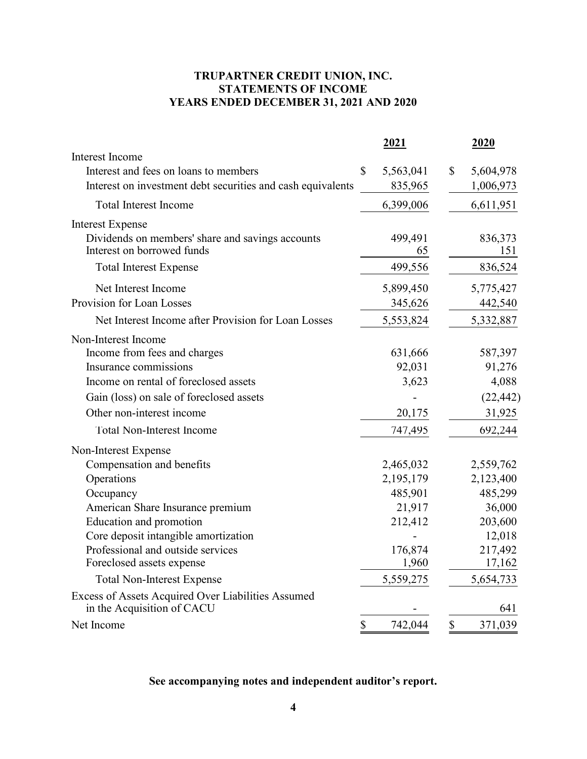# TRUPARTNER CREDIT UNION, INC. STATEMENTS OF INCOME YEARS ENDED DECEMBER 31, 2021 AND 2020

| TRUPARTNER CREDIT UNION, INC.<br><b>STATEMENTS OF INCOME</b><br>YEARS ENDED DECEMBER 31, 2021 AND 2020                  |                            |                              |
|-------------------------------------------------------------------------------------------------------------------------|----------------------------|------------------------------|
|                                                                                                                         | 2021                       | 2020                         |
| Interest Income<br>Interest and fees on loans to members<br>Interest on investment debt securities and cash equivalents | \$<br>5,563,041<br>835,965 | \$<br>5,604,978<br>1,006,973 |
| <b>Total Interest Income</b>                                                                                            | 6,399,006                  | 6,611,951                    |
| <b>Interest Expense</b>                                                                                                 |                            |                              |
| Dividends on members' share and savings accounts<br>Interest on borrowed funds                                          | 499,491<br>65              | 836,373<br>151               |
| <b>Total Interest Expense</b>                                                                                           | 499,556                    | 836,524                      |
| Net Interest Income                                                                                                     | 5,899,450                  | 5,775,427                    |
| Provision for Loan Losses                                                                                               | 345,626                    | 442,540                      |
| Net Interest Income after Provision for Loan Losses                                                                     | 5,553,824                  | 5,332,887                    |
| Non-Interest Income                                                                                                     |                            |                              |
| Income from fees and charges                                                                                            | 631,666                    | 587,397                      |
| Insurance commissions                                                                                                   | 92,031                     | 91,276                       |
| Income on rental of foreclosed assets                                                                                   | 3,623                      | 4,088                        |
| Gain (loss) on sale of foreclosed assets                                                                                |                            | (22, 442)                    |
| Other non-interest income                                                                                               | 20,175                     | 31,925                       |
| Total Non-Interest Income                                                                                               | 747,495                    | 692,244                      |
| Non-Interest Expense                                                                                                    |                            |                              |
| Compensation and benefits                                                                                               | 2,465,032                  | 2,559,762                    |
| Operations                                                                                                              | 2,195,179                  | 2,123,400                    |
| Occupancy                                                                                                               | 485,901                    | 485,299                      |
| American Share Insurance premium                                                                                        | 21,917                     | 36,000                       |
| Education and promotion                                                                                                 | 212,412                    | 203,600                      |
| Core deposit intangible amortization                                                                                    |                            | 12,018                       |
| Professional and outside services                                                                                       | 176,874                    | 217,492                      |
| Foreclosed assets expense                                                                                               | 1,960                      | 17,162                       |
| <b>Total Non-Interest Expense</b>                                                                                       | 5,559,275                  | 5,654,733                    |
| Excess of Assets Acquired Over Liabilities Assumed<br>in the Acquisition of CACU                                        |                            | 641                          |
| Net Income                                                                                                              | 742,044<br>\$              | \$<br>371,039                |
|                                                                                                                         |                            |                              |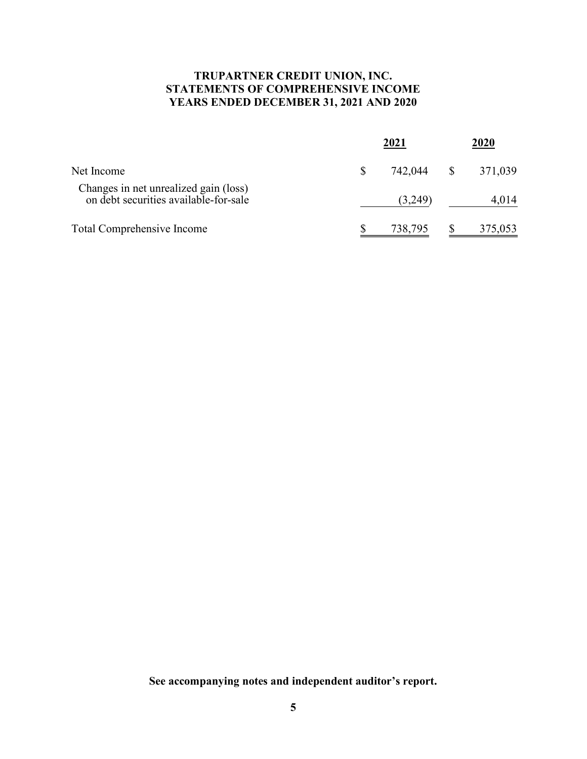# TRUPARTNER CREDIT UNION, INC. STATEMENTS OF COMPREHENSIVE INCOME YEARS ENDED DECEMBER 31, 2021 AND 2020

|                                                                                | <u>2021</u> |              | <u>2020</u> |  |
|--------------------------------------------------------------------------------|-------------|--------------|-------------|--|
| Net Income                                                                     | 742,044     | $\mathbb{S}$ | 371,039     |  |
| Changes in net unrealized gain (loss)<br>on debt securities available-for-sale | (3,249)     |              | 4,014       |  |
| Total Comprehensive Income                                                     | 738,795     |              | 375,053     |  |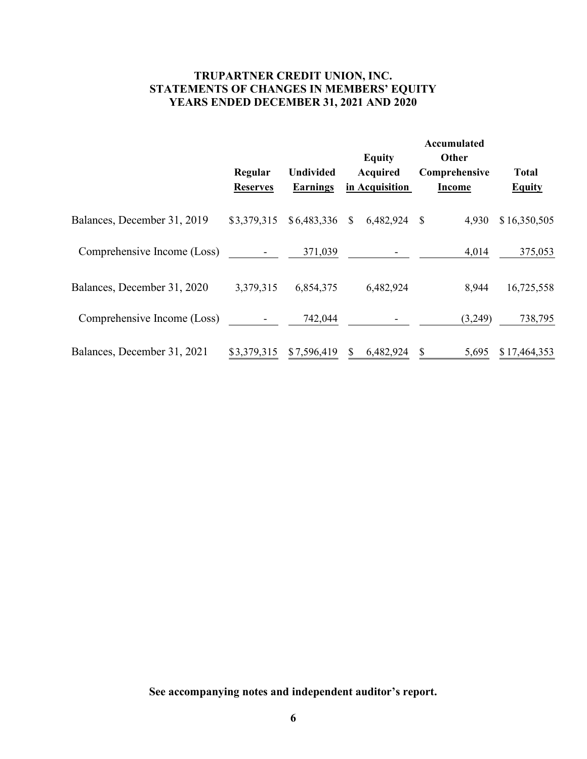# TRUPARTNER CREDIT UNION, INC. STATEMENTS OF CHANGES IN MEMBERS' EQUITY YEARS ENDED DECEMBER 31, 2021 AND 2020

|                                          | TRUPARTNER CREDIT UNION, INC. |                              |                                                                                       |                                                        |                               |
|------------------------------------------|-------------------------------|------------------------------|---------------------------------------------------------------------------------------|--------------------------------------------------------|-------------------------------|
| STATEMENTS OF CHANGES IN MEMBERS' EQUITY | Regular<br><b>Reserves</b>    | Undivided<br><b>Earnings</b> | YEARS ENDED DECEMBER 31, 2021 AND 2020<br><b>Equity</b><br>Acquired<br>in Acquisition | Accumulated<br>Other<br>Comprehensive<br><b>Income</b> | <b>Total</b><br><b>Equity</b> |
| Balances, December 31, 2019              | \$3,379,315                   | \$6,483,336                  | 6,482,924 \$<br>$\mathcal{S}$                                                         | 4,930                                                  | \$16,350,505                  |
| Comprehensive Income (Loss)              |                               | 371,039                      |                                                                                       | 4,014                                                  | 375,053                       |
| Balances, December 31, 2020              | 3,379,315                     | 6,854,375                    | 6,482,924                                                                             | 8,944                                                  | 16,725,558                    |
| Comprehensive Income (Loss)              |                               | 742,044                      |                                                                                       | (3,249)                                                | 738,795                       |
| Balances, December 31, 2021              | \$3,379,315                   | \$7,596,419                  | 6,482,924<br>\$                                                                       | 5,695<br>$\boldsymbol{\mathsf{S}}$                     | \$17,464,353                  |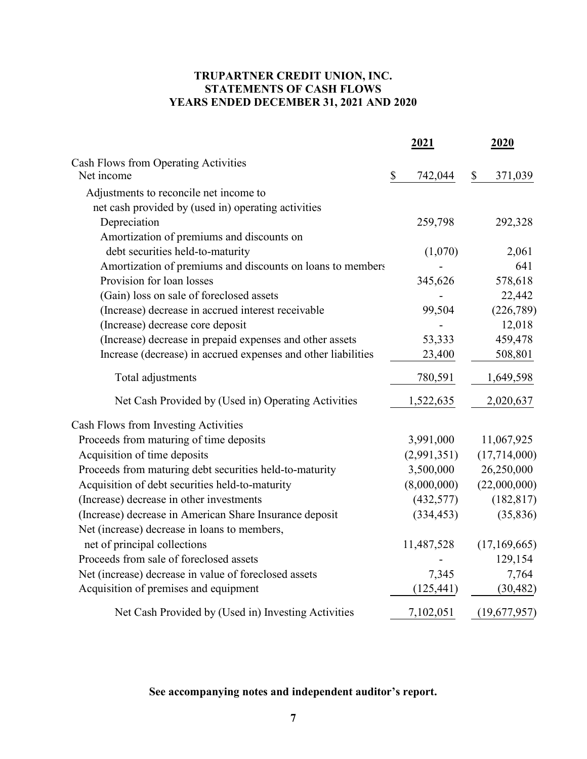# TRUPARTNER CREDIT UNION, INC. STATEMENTS OF CASH FLOWS YEARS ENDED DECEMBER 31, 2021 AND 2020

| TRUPARTNER CREDIT UNION, INC.<br><b>STATEMENTS OF CASH FLOWS</b><br>YEARS ENDED DECEMBER 31, 2021 AND 2020 |    |             |  |              |  |  |
|------------------------------------------------------------------------------------------------------------|----|-------------|--|--------------|--|--|
|                                                                                                            |    | 2021        |  | <u>2020</u>  |  |  |
| Cash Flows from Operating Activities<br>Net income                                                         | \$ | 742,044     |  | 371,039      |  |  |
| Adjustments to reconcile net income to                                                                     |    |             |  |              |  |  |
| net cash provided by (used in) operating activities<br>Depreciation                                        |    | 259,798     |  | 292,328      |  |  |
| Amortization of premiums and discounts on<br>debt securities held-to-maturity                              |    |             |  |              |  |  |
|                                                                                                            |    | (1,070)     |  | 2,061<br>641 |  |  |
| Amortization of premiums and discounts on loans to members<br>Provision for loan losses                    |    | 345,626     |  | 578,618      |  |  |
| (Gain) loss on sale of foreclosed assets                                                                   |    |             |  | 22,442       |  |  |
| (Increase) decrease in accrued interest receivable                                                         |    | 99,504      |  | (226,789)    |  |  |
| (Increase) decrease core deposit                                                                           |    |             |  | 12,018       |  |  |
| (Increase) decrease in prepaid expenses and other assets                                                   |    | 53,333      |  | 459,478      |  |  |
| Increase (decrease) in accrued expenses and other liabilities                                              |    | 23,400      |  | 508,801      |  |  |
|                                                                                                            |    |             |  |              |  |  |
| Total adjustments                                                                                          |    | 780,591     |  | 1,649,598    |  |  |
| Net Cash Provided by (Used in) Operating Activities                                                        |    | 1,522,635   |  | 2,020,637    |  |  |
| Cash Flows from Investing Activities                                                                       |    |             |  |              |  |  |
| Proceeds from maturing of time deposits                                                                    |    | 3,991,000   |  | 11,067,925   |  |  |
| Acquisition of time deposits                                                                               |    | (2,991,351) |  | (17,714,000) |  |  |
| Proceeds from maturing debt securities held-to-maturity                                                    |    | 3,500,000   |  | 26,250,000   |  |  |
| Acquisition of debt securities held-to-maturity                                                            |    | (8,000,000) |  | (22,000,000) |  |  |
| (Increase) decrease in other investments                                                                   |    | (432,577)   |  | (182, 817)   |  |  |
| (Increase) decrease in American Share Insurance deposit                                                    |    | (334, 453)  |  | (35, 836)    |  |  |
| Net (increase) decrease in loans to members,                                                               |    |             |  |              |  |  |
| net of principal collections                                                                               |    | 11,487,528  |  | (17,169,665) |  |  |
| Proceeds from sale of foreclosed assets                                                                    |    |             |  | 129,154      |  |  |
| Net (increase) decrease in value of foreclosed assets                                                      |    | 7,345       |  | 7,764        |  |  |
| Acquisition of premises and equipment                                                                      |    | (125, 441)  |  | (30, 482)    |  |  |
| Net Cash Provided by (Used in) Investing Activities                                                        |    | 7,102,051   |  | (19,677,957) |  |  |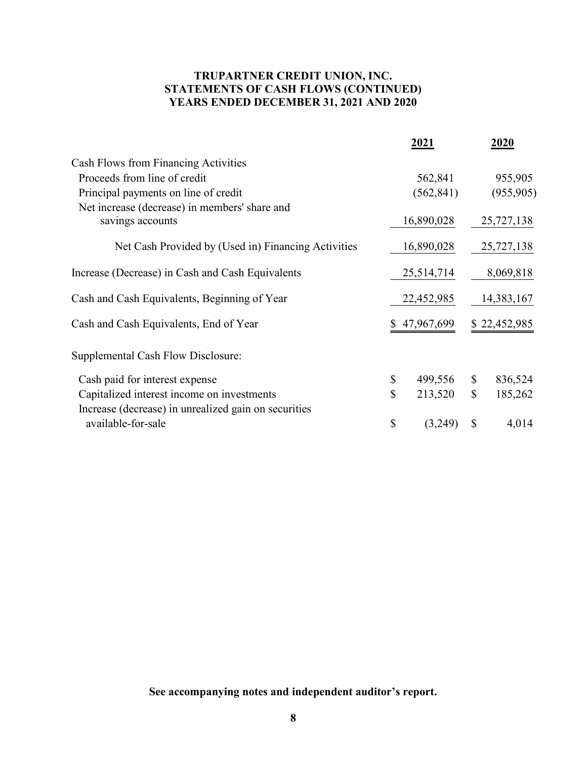# TRUPARTNER CREDIT UNION, INC. STATEMENTS OF CASH FLOWS (CONTINUED) YEARS ENDED DECEMBER 31, 2021 AND 2020

| TRUPARTNER CREDIT UNION, INC.<br>STATEMENTS OF CASH FLOWS (CONTINUED)<br>YEARS ENDED DECEMBER 31, 2021 AND 2020 |               |               |
|-----------------------------------------------------------------------------------------------------------------|---------------|---------------|
|                                                                                                                 | 2021          | 2020          |
| Cash Flows from Financing Activities                                                                            |               |               |
| Proceeds from line of credit                                                                                    | 562,841       | 955,905       |
| Principal payments on line of credit                                                                            | (562, 841)    | (955,905)     |
| Net increase (decrease) in members' share and<br>savings accounts                                               | 16,890,028    | 25,727,138    |
| Net Cash Provided by (Used in) Financing Activities                                                             | 16,890,028    | 25,727,138    |
| Increase (Decrease) in Cash and Cash Equivalents                                                                | 25,514,714    | 8,069,818     |
| Cash and Cash Equivalents, Beginning of Year                                                                    | 22,452,985    | 14,383,167    |
| Cash and Cash Equivalents, End of Year                                                                          | \$47,967,699  | \$22,452,985  |
| Supplemental Cash Flow Disclosure:                                                                              |               |               |
| Cash paid for interest expense                                                                                  | \$<br>499,556 | \$<br>836,524 |
| Capitalized interest income on investments                                                                      | \$<br>213,520 | \$<br>185,262 |
| Increase (decrease) in unrealized gain on securities<br>available-for-sale                                      | \$<br>(3,249) | \$<br>4,014   |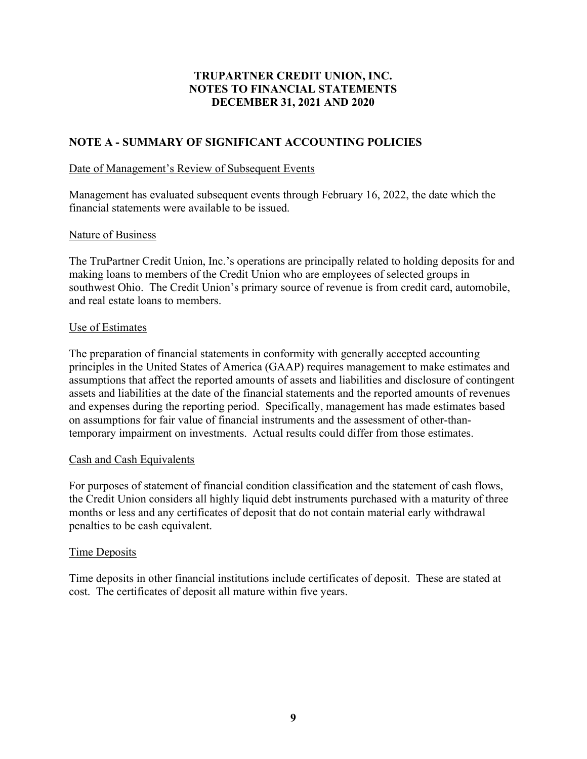# NOTE A - SUMMARY OF SIGNIFICANT ACCOUNTING POLICIES

#### Date of Management's Review of Subsequent Events

Management has evaluated subsequent events through February 16, 2022, the date which the financial statements were available to be issued.

#### Nature of Business

The TruPartner Credit Union, Inc.'s operations are principally related to holding deposits for and making loans to members of the Credit Union who are employees of selected groups in southwest Ohio. The Credit Union's primary source of revenue is from credit card, automobile, and real estate loans to members.

#### Use of Estimates

The preparation of financial statements in conformity with generally accepted accounting principles in the United States of America (GAAP) requires management to make estimates and assumptions that affect the reported amounts of assets and liabilities and disclosure of contingent assets and liabilities at the date of the financial statements and the reported amounts of revenues and expenses during the reporting period. Specifically, management has made estimates based on assumptions for fair value of financial instruments and the assessment of other-thantemporary impairment on investments. Actual results could differ from those estimates.

#### Cash and Cash Equivalents

For purposes of statement of financial condition classification and the statement of cash flows, the Credit Union considers all highly liquid debt instruments purchased with a maturity of three months or less and any certificates of deposit that do not contain material early withdrawal penalties to be cash equivalent.

#### Time Deposits

Time deposits in other financial institutions include certificates of deposit. These are stated at cost. The certificates of deposit all mature within five years.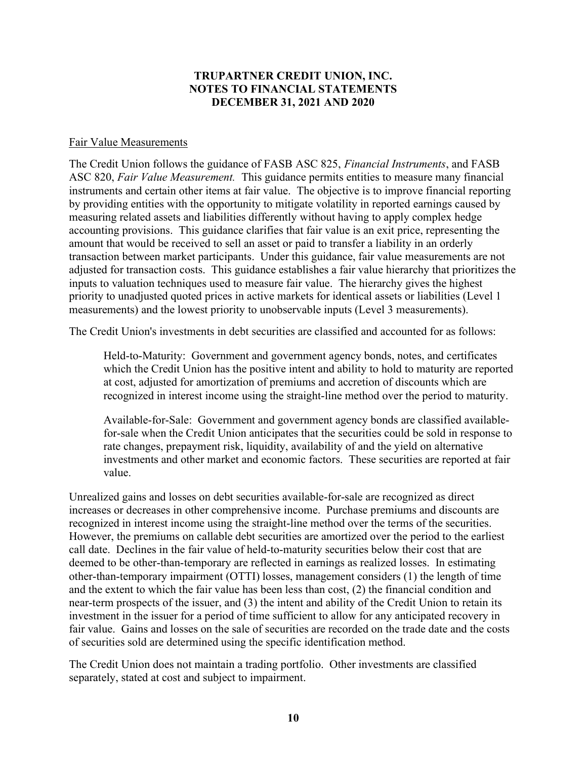#### Fair Value Measurements

The Credit Union follows the guidance of FASB ASC 825, Financial Instruments, and FASB ASC 820, Fair Value Measurement. This guidance permits entities to measure many financial instruments and certain other items at fair value. The objective is to improve financial reporting by providing entities with the opportunity to mitigate volatility in reported earnings caused by measuring related assets and liabilities differently without having to apply complex hedge accounting provisions. This guidance clarifies that fair value is an exit price, representing the amount that would be received to sell an asset or paid to transfer a liability in an orderly transaction between market participants. Under this guidance, fair value measurements are not adjusted for transaction costs. This guidance establishes a fair value hierarchy that prioritizes the inputs to valuation techniques used to measure fair value. The hierarchy gives the highest priority to unadjusted quoted prices in active markets for identical assets or liabilities (Level 1 measurements) and the lowest priority to unobservable inputs (Level 3 measurements).

The Credit Union's investments in debt securities are classified and accounted for as follows:

Held-to-Maturity: Government and government agency bonds, notes, and certificates which the Credit Union has the positive intent and ability to hold to maturity are reported at cost, adjusted for amortization of premiums and accretion of discounts which are recognized in interest income using the straight-line method over the period to maturity.

Available-for-Sale: Government and government agency bonds are classified availablefor-sale when the Credit Union anticipates that the securities could be sold in response to rate changes, prepayment risk, liquidity, availability of and the yield on alternative investments and other market and economic factors. These securities are reported at fair value.

Unrealized gains and losses on debt securities available-for-sale are recognized as direct increases or decreases in other comprehensive income. Purchase premiums and discounts are recognized in interest income using the straight-line method over the terms of the securities. However, the premiums on callable debt securities are amortized over the period to the earliest call date. Declines in the fair value of held-to-maturity securities below their cost that are deemed to be other-than-temporary are reflected in earnings as realized losses. In estimating other-than-temporary impairment (OTTI) losses, management considers (1) the length of time and the extent to which the fair value has been less than cost, (2) the financial condition and near-term prospects of the issuer, and (3) the intent and ability of the Credit Union to retain its investment in the issuer for a period of time sufficient to allow for any anticipated recovery in fair value. Gains and losses on the sale of securities are recorded on the trade date and the costs of securities sold are determined using the specific identification method.

The Credit Union does not maintain a trading portfolio. Other investments are classified separately, stated at cost and subject to impairment.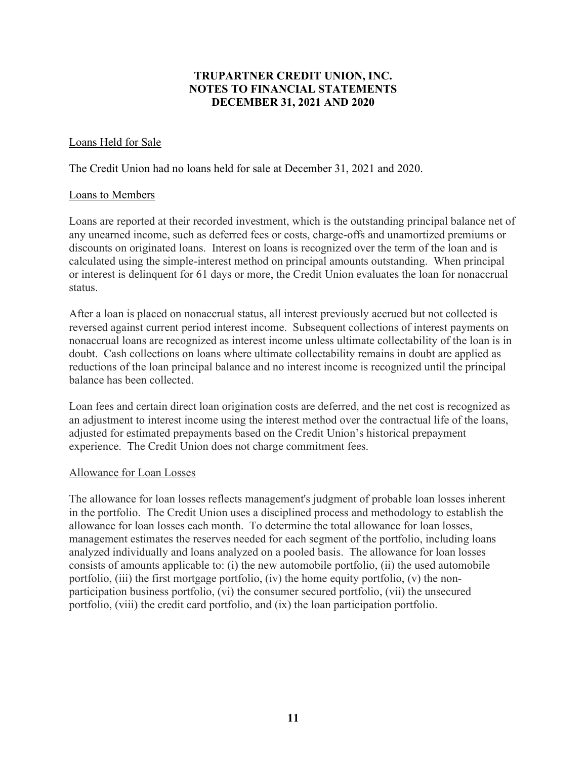# Loans Held for Sale

The Credit Union had no loans held for sale at December 31, 2021 and 2020.

#### Loans to Members

Loans are reported at their recorded investment, which is the outstanding principal balance net of any unearned income, such as deferred fees or costs, charge-offs and unamortized premiums or discounts on originated loans. Interest on loans is recognized over the term of the loan and is calculated using the simple-interest method on principal amounts outstanding. When principal or interest is delinquent for 61 days or more, the Credit Union evaluates the loan for nonaccrual status.

After a loan is placed on nonaccrual status, all interest previously accrued but not collected is reversed against current period interest income. Subsequent collections of interest payments on nonaccrual loans are recognized as interest income unless ultimate collectability of the loan is in doubt. Cash collections on loans where ultimate collectability remains in doubt are applied as reductions of the loan principal balance and no interest income is recognized until the principal balance has been collected.

Loan fees and certain direct loan origination costs are deferred, and the net cost is recognized as an adjustment to interest income using the interest method over the contractual life of the loans, adjusted for estimated prepayments based on the Credit Union's historical prepayment experience. The Credit Union does not charge commitment fees.

#### Allowance for Loan Losses

The allowance for loan losses reflects management's judgment of probable loan losses inherent in the portfolio. The Credit Union uses a disciplined process and methodology to establish the allowance for loan losses each month. To determine the total allowance for loan losses, management estimates the reserves needed for each segment of the portfolio, including loans analyzed individually and loans analyzed on a pooled basis. The allowance for loan losses consists of amounts applicable to: (i) the new automobile portfolio, (ii) the used automobile portfolio,  $(iii)$  the first mortgage portfolio,  $(iv)$  the home equity portfolio,  $(v)$  the nonparticipation business portfolio, (vi) the consumer secured portfolio, (vii) the unsecured portfolio, (viii) the credit card portfolio, and (ix) the loan participation portfolio.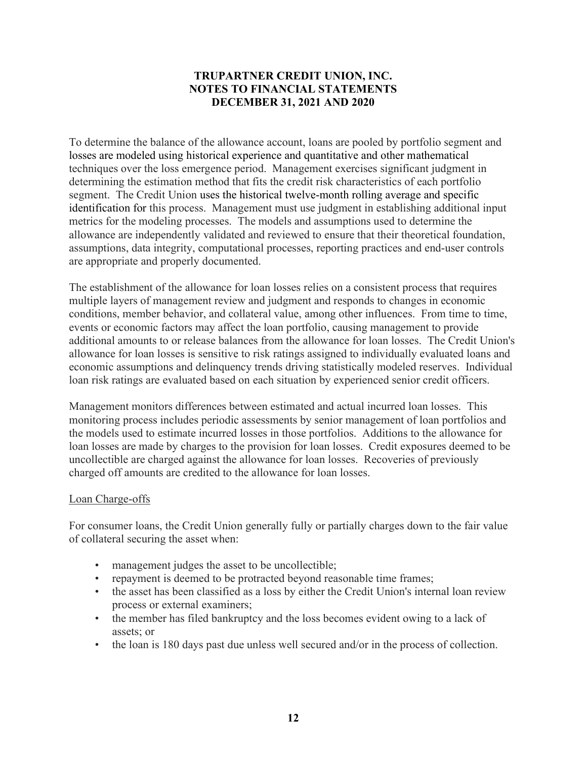To determine the balance of the allowance account, loans are pooled by portfolio segment and losses are modeled using historical experience and quantitative and other mathematical techniques over the loss emergence period. Management exercises significant judgment in determining the estimation method that fits the credit risk characteristics of each portfolio segment. The Credit Union uses the historical twelve-month rolling average and specific identification for this process. Management must use judgment in establishing additional input metrics for the modeling processes. The models and assumptions used to determine the allowance are independently validated and reviewed to ensure that their theoretical foundation, assumptions, data integrity, computational processes, reporting practices and end-user controls are appropriate and properly documented.

The establishment of the allowance for loan losses relies on a consistent process that requires multiple layers of management review and judgment and responds to changes in economic conditions, member behavior, and collateral value, among other influences. From time to time, events or economic factors may affect the loan portfolio, causing management to provide additional amounts to or release balances from the allowance for loan losses. The Credit Union's allowance for loan losses is sensitive to risk ratings assigned to individually evaluated loans and economic assumptions and delinquency trends driving statistically modeled reserves. Individual loan risk ratings are evaluated based on each situation by experienced senior credit officers.

Management monitors differences between estimated and actual incurred loan losses. This monitoring process includes periodic assessments by senior management of loan portfolios and the models used to estimate incurred losses in those portfolios. Additions to the allowance for loan losses are made by charges to the provision for loan losses. Credit exposures deemed to be uncollectible are charged against the allowance for loan losses. Recoveries of previously charged off amounts are credited to the allowance for loan losses.

#### Loan Charge-offs

For consumer loans, the Credit Union generally fully or partially charges down to the fair value of collateral securing the asset when:

- management judges the asset to be uncollectible;
- repayment is deemed to be protracted beyond reasonable time frames;
- the asset has been classified as a loss by either the Credit Union's internal loan review process or external examiners;
- the member has filed bankruptcy and the loss becomes evident owing to a lack of assets; or
- the loan is 180 days past due unless well secured and/or in the process of collection.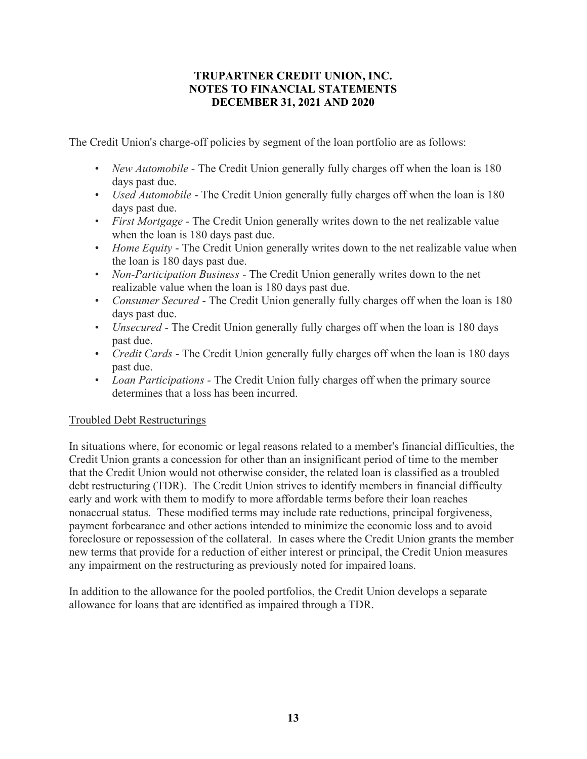The Credit Union's charge-off policies by segment of the loan portfolio are as follows:

- New Automobile The Credit Union generally fully charges off when the loan is 180 days past due.
- Used Automobile The Credit Union generally fully charges off when the loan is 180 days past due.
- First Mortgage The Credit Union generally writes down to the net realizable value when the loan is 180 days past due.
- Home Equity The Credit Union generally writes down to the net realizable value when the loan is 180 days past due.
- Non-Participation Business The Credit Union generally writes down to the net realizable value when the loan is 180 days past due.
- Consumer Secured The Credit Union generally fully charges off when the loan is 180 days past due.
- Unsecured The Credit Union generally fully charges off when the loan is 180 days past due.
- *Credit Cards* The Credit Union generally fully charges off when the loan is 180 days past due.
- Loan Participations The Credit Union fully charges off when the primary source determines that a loss has been incurred.

# Troubled Debt Restructurings

In situations where, for economic or legal reasons related to a member's financial difficulties, the Credit Union grants a concession for other than an insignificant period of time to the member that the Credit Union would not otherwise consider, the related loan is classified as a troubled debt restructuring (TDR). The Credit Union strives to identify members in financial difficulty early and work with them to modify to more affordable terms before their loan reaches nonaccrual status. These modified terms may include rate reductions, principal forgiveness, payment forbearance and other actions intended to minimize the economic loss and to avoid foreclosure or repossession of the collateral. In cases where the Credit Union grants the member new terms that provide for a reduction of either interest or principal, the Credit Union measures any impairment on the restructuring as previously noted for impaired loans.

In addition to the allowance for the pooled portfolios, the Credit Union develops a separate allowance for loans that are identified as impaired through a TDR.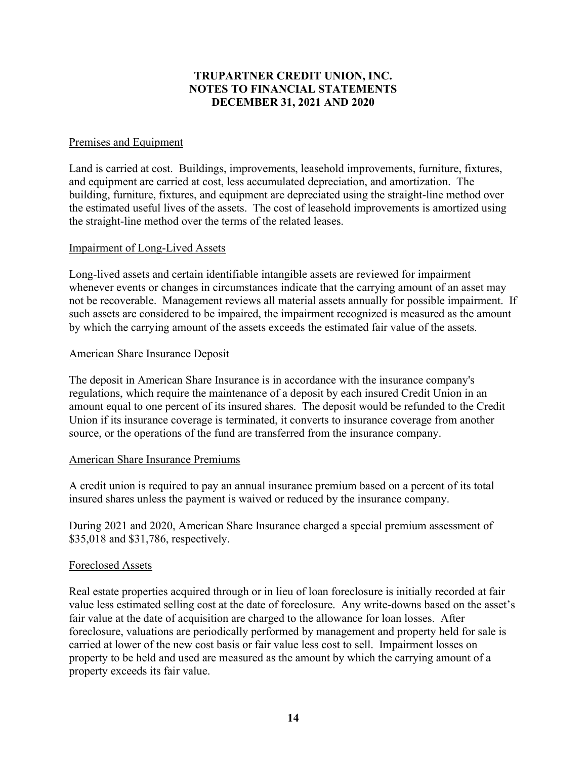#### Premises and Equipment

Land is carried at cost. Buildings, improvements, leasehold improvements, furniture, fixtures, and equipment are carried at cost, less accumulated depreciation, and amortization. The building, furniture, fixtures, and equipment are depreciated using the straight-line method over the estimated useful lives of the assets. The cost of leasehold improvements is amortized using the straight-line method over the terms of the related leases.

#### Impairment of Long-Lived Assets

Long-lived assets and certain identifiable intangible assets are reviewed for impairment whenever events or changes in circumstances indicate that the carrying amount of an asset may not be recoverable. Management reviews all material assets annually for possible impairment. If such assets are considered to be impaired, the impairment recognized is measured as the amount by which the carrying amount of the assets exceeds the estimated fair value of the assets.

#### American Share Insurance Deposit

The deposit in American Share Insurance is in accordance with the insurance company's regulations, which require the maintenance of a deposit by each insured Credit Union in an amount equal to one percent of its insured shares. The deposit would be refunded to the Credit Union if its insurance coverage is terminated, it converts to insurance coverage from another source, or the operations of the fund are transferred from the insurance company.

#### American Share Insurance Premiums

A credit union is required to pay an annual insurance premium based on a percent of its total insured shares unless the payment is waived or reduced by the insurance company.

During 2021 and 2020, American Share Insurance charged a special premium assessment of \$35,018 and \$31,786, respectively.

#### Foreclosed Assets

Real estate properties acquired through or in lieu of loan foreclosure is initially recorded at fair value less estimated selling cost at the date of foreclosure. Any write-downs based on the asset's fair value at the date of acquisition are charged to the allowance for loan losses. After foreclosure, valuations are periodically performed by management and property held for sale is carried at lower of the new cost basis or fair value less cost to sell. Impairment losses on property to be held and used are measured as the amount by which the carrying amount of a property exceeds its fair value.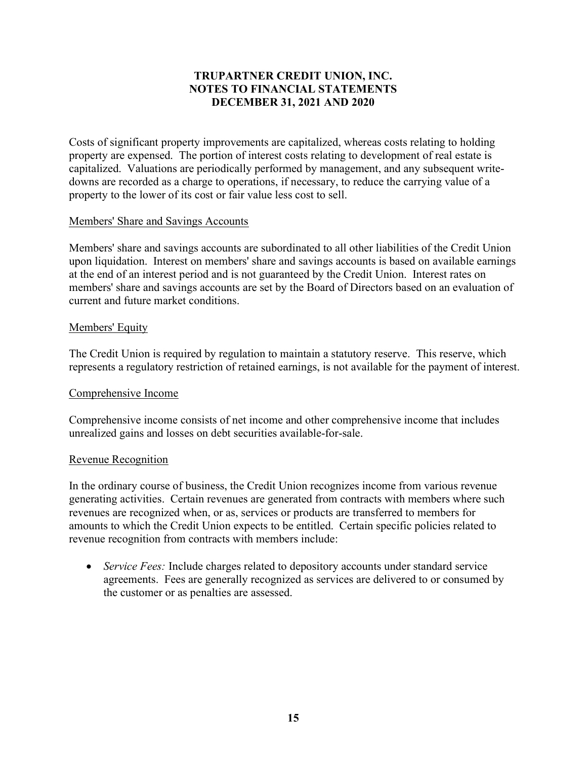Costs of significant property improvements are capitalized, whereas costs relating to holding property are expensed. The portion of interest costs relating to development of real estate is capitalized. Valuations are periodically performed by management, and any subsequent writedowns are recorded as a charge to operations, if necessary, to reduce the carrying value of a property to the lower of its cost or fair value less cost to sell.

#### Members' Share and Savings Accounts

Members' share and savings accounts are subordinated to all other liabilities of the Credit Union upon liquidation. Interest on members' share and savings accounts is based on available earnings at the end of an interest period and is not guaranteed by the Credit Union. Interest rates on members' share and savings accounts are set by the Board of Directors based on an evaluation of current and future market conditions.

#### Members' Equity

The Credit Union is required by regulation to maintain a statutory reserve. This reserve, which represents a regulatory restriction of retained earnings, is not available for the payment of interest.

# Comprehensive Income

Comprehensive income consists of net income and other comprehensive income that includes unrealized gains and losses on debt securities available-for-sale.

#### Revenue Recognition

In the ordinary course of business, the Credit Union recognizes income from various revenue generating activities. Certain revenues are generated from contracts with members where such revenues are recognized when, or as, services or products are transferred to members for amounts to which the Credit Union expects to be entitled. Certain specific policies related to revenue recognition from contracts with members include:

• Service Fees: Include charges related to depository accounts under standard service agreements. Fees are generally recognized as services are delivered to or consumed by the customer or as penalties are assessed.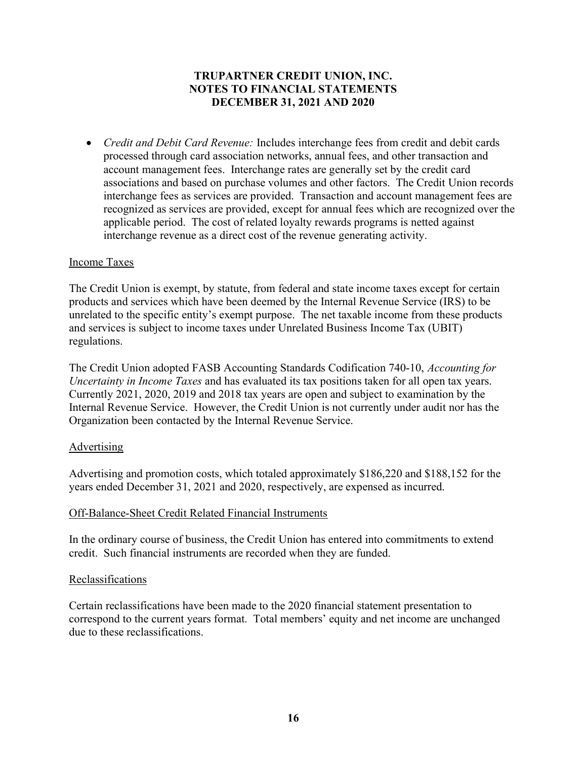• *Credit and Debit Card Revenue:* Includes interchange fees from credit and debit cards processed through card association networks, annual fees, and other transaction and account management fees. Interchange rates are generally set by the credit card associations and based on purchase volumes and other factors. The Credit Union records interchange fees as services are provided. Transaction and account management fees are recognized as services are provided, except for annual fees which are recognized over the applicable period. The cost of related loyalty rewards programs is netted against interchange revenue as a direct cost of the revenue generating activity.

#### Income Taxes

The Credit Union is exempt, by statute, from federal and state income taxes except for certain products and services which have been deemed by the Internal Revenue Service (IRS) to be unrelated to the specific entity's exempt purpose. The net taxable income from these products and services is subject to income taxes under Unrelated Business Income Tax (UBIT) regulations.

The Credit Union adopted FASB Accounting Standards Codification 740-10, Accounting for Uncertainty in Income Taxes and has evaluated its tax positions taken for all open tax years. Currently 2021, 2020, 2019 and 2018 tax years are open and subject to examination by the Internal Revenue Service. However, the Credit Union is not currently under audit nor has the Organization been contacted by the Internal Revenue Service.

#### Advertising

Advertising and promotion costs, which totaled approximately \$186,220 and \$188,152 for the years ended December 31, 2021 and 2020, respectively, are expensed as incurred.

#### Off-Balance-Sheet Credit Related Financial Instruments

In the ordinary course of business, the Credit Union has entered into commitments to extend credit. Such financial instruments are recorded when they are funded.

#### Reclassifications

Certain reclassifications have been made to the 2020 financial statement presentation to correspond to the current years format. Total members' equity and net income are unchanged due to these reclassifications.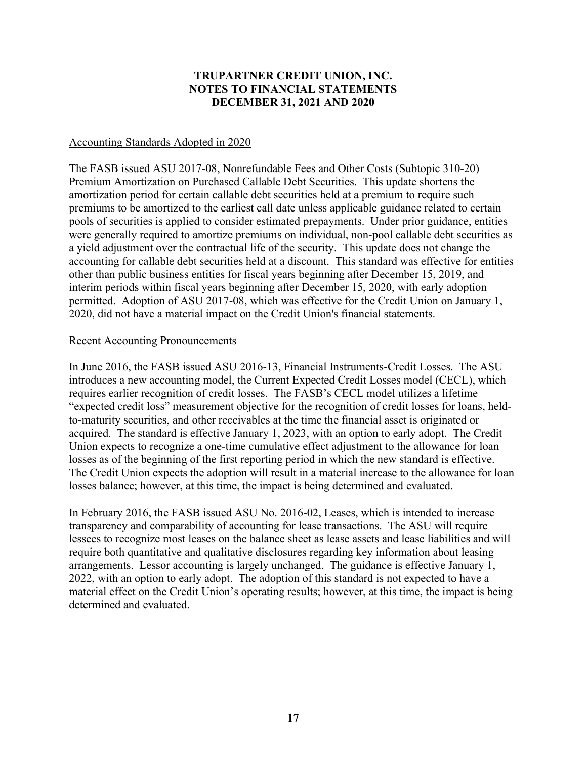# Accounting Standards Adopted in 2020

The FASB issued ASU 2017-08, Nonrefundable Fees and Other Costs (Subtopic 310-20) Premium Amortization on Purchased Callable Debt Securities. This update shortens the amortization period for certain callable debt securities held at a premium to require such premiums to be amortized to the earliest call date unless applicable guidance related to certain pools of securities is applied to consider estimated prepayments. Under prior guidance, entities were generally required to amortize premiums on individual, non-pool callable debt securities as a yield adjustment over the contractual life of the security. This update does not change the accounting for callable debt securities held at a discount. This standard was effective for entities other than public business entities for fiscal years beginning after December 15, 2019, and interim periods within fiscal years beginning after December 15, 2020, with early adoption permitted. Adoption of ASU 2017-08, which was effective for the Credit Union on January 1, 2020, did not have a material impact on the Credit Union's financial statements.

#### Recent Accounting Pronouncements

In June 2016, the FASB issued ASU 2016-13, Financial Instruments-Credit Losses. The ASU introduces a new accounting model, the Current Expected Credit Losses model (CECL), which requires earlier recognition of credit losses. The FASB's CECL model utilizes a lifetime "expected credit loss" measurement objective for the recognition of credit losses for loans, heldto-maturity securities, and other receivables at the time the financial asset is originated or acquired. The standard is effective January 1, 2023, with an option to early adopt. The Credit Union expects to recognize a one-time cumulative effect adjustment to the allowance for loan losses as of the beginning of the first reporting period in which the new standard is effective. The Credit Union expects the adoption will result in a material increase to the allowance for loan losses balance; however, at this time, the impact is being determined and evaluated.

In February 2016, the FASB issued ASU No. 2016-02, Leases, which is intended to increase transparency and comparability of accounting for lease transactions. The ASU will require lessees to recognize most leases on the balance sheet as lease assets and lease liabilities and will require both quantitative and qualitative disclosures regarding key information about leasing arrangements. Lessor accounting is largely unchanged. The guidance is effective January 1, 2022, with an option to early adopt. The adoption of this standard is not expected to have a material effect on the Credit Union's operating results; however, at this time, the impact is being determined and evaluated.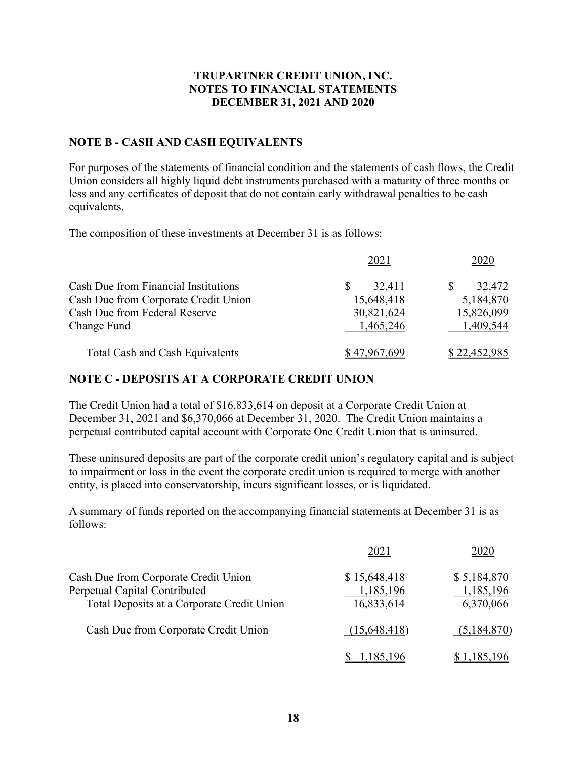# NOTE B - CASH AND CASH EQUIVALENTS

For purposes of the statements of financial condition and the statements of cash flows, the Credit Union considers all highly liquid debt instruments purchased with a maturity of three months or less and any certificates of deposit that do not contain early withdrawal penalties to be cash equivalents.

The composition of these investments at December 31 is as follows:

|                                      | 2021         | 2020         |
|--------------------------------------|--------------|--------------|
| Cash Due from Financial Institutions | 32,411       | 32,472<br>S  |
| Cash Due from Corporate Credit Union | 15,648,418   | 5,184,870    |
| Cash Due from Federal Reserve        | 30,821,624   | 15,826,099   |
| Change Fund                          | 1,465,246    | 1,409,544    |
| Total Cash and Cash Equivalents      | \$47,967,699 | \$22,452,985 |

#### NOTE C - DEPOSITS AT A CORPORATE CREDIT UNION

The Credit Union had a total of \$16,833,614 on deposit at a Corporate Credit Union at December 31, 2021 and \$6,370,066 at December 31, 2020. The Credit Union maintains a perpetual contributed capital account with Corporate One Credit Union that is uninsured.

These uninsured deposits are part of the corporate credit union's regulatory capital and is subject to impairment or loss in the event the corporate credit union is required to merge with another entity, is placed into conservatorship, incurs significant losses, or is liquidated.

A summary of funds reported on the accompanying financial statements at December 31 is as follows:

|                                            | 2021             | 2020        |
|--------------------------------------------|------------------|-------------|
| Cash Due from Corporate Credit Union       | \$15,648,418     | \$5,184,870 |
| Perpetual Capital Contributed              | 1,185,196        | 1,185,196   |
| Total Deposits at a Corporate Credit Union | 16,833,614       | 6,370,066   |
| Cash Due from Corporate Credit Union       | (15,648,418)     | (5,184,870) |
|                                            | <u>1,185,196</u> | \$1,185,196 |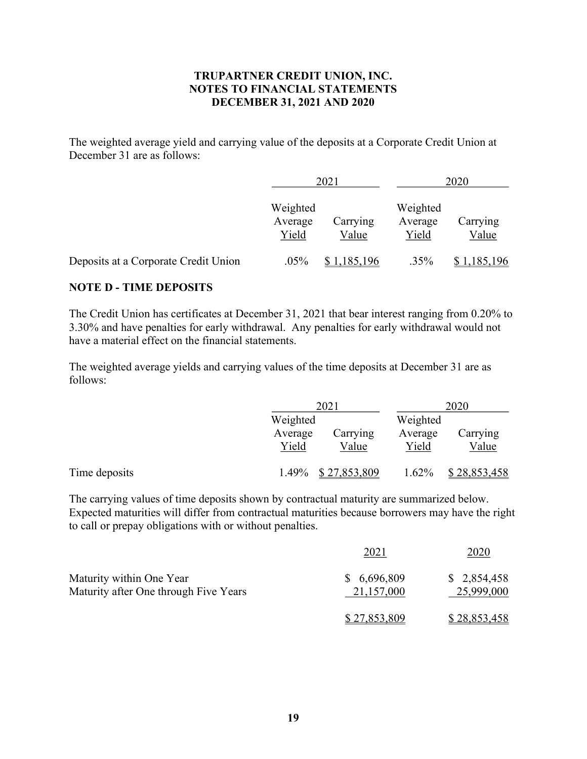The weighted average yield and carrying value of the deposits at a Corporate Credit Union at December 31 are as follows:

|                                      |                              | 2021              | 2020                         |                    |  |
|--------------------------------------|------------------------------|-------------------|------------------------------|--------------------|--|
|                                      | Weighted<br>Average<br>Yield | Carrying<br>Value | Weighted<br>Average<br>Yield | Carrying<br>Value  |  |
| Deposits at a Corporate Credit Union | .05%                         | 1,185,196         | .35%                         | <u>\$1,185,196</u> |  |

#### NOTE D - TIME DEPOSITS

The Credit Union has certificates at December 31, 2021 that bear interest ranging from 0.20% to 3.30% and have penalties for early withdrawal. Any penalties for early withdrawal would not have a material effect on the financial statements.

The weighted average yields and carrying values of the time deposits at December 31 are as follows:

|               |                  | 2021              | 2020             |                   |
|---------------|------------------|-------------------|------------------|-------------------|
|               |                  | Weighted          |                  | Weighted          |
|               | Average<br>Yield | Carrying<br>Value | Average<br>Yield | Carrying<br>Value |
| Time deposits | $1.49\%$         | \$27,853,809      | $1.62\%$         | \$28,853,458      |

The carrying values of time deposits shown by contractual maturity are summarized below. Expected maturities will differ from contractual maturities because borrowers may have the right to call or prepay obligations with or without penalties.

|                                                                   | 2021                      | 2020                      |
|-------------------------------------------------------------------|---------------------------|---------------------------|
| Maturity within One Year<br>Maturity after One through Five Years | \$6,696,809<br>21,157,000 | \$2,854,458<br>25,999,000 |
|                                                                   | \$27,853,809              | \$28,853,458              |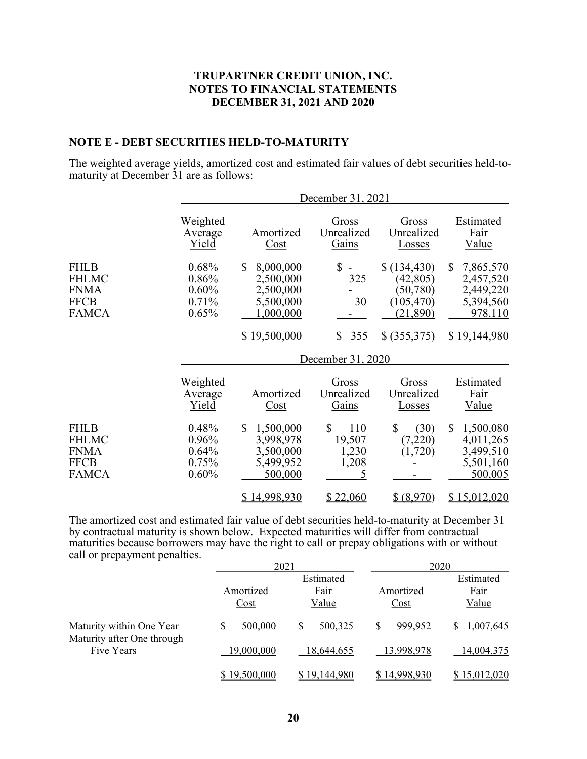#### NOTE E - DEBT SECURITIES HELD-TO-MATURITY

The weighted average yields, amortized cost and estimated fair values of debt securities held-tomaturity at December 31 are as follows:

|                                                                           |                                           |                                                                                     | December 31, 2021                          |                                                                                   |                                                                                             |
|---------------------------------------------------------------------------|-------------------------------------------|-------------------------------------------------------------------------------------|--------------------------------------------|-----------------------------------------------------------------------------------|---------------------------------------------------------------------------------------------|
|                                                                           | Weighted<br>Average<br>Yield              | Amortized<br>Cost                                                                   | Gross<br>Unrealized<br>Gains               | Gross<br>Unrealized<br>Losses                                                     | Estimated<br>Fair<br>Value                                                                  |
| <b>FHLB</b><br><b>FHLMC</b><br><b>FNMA</b><br><b>FFCB</b><br><b>FAMCA</b> | 0.68%<br>0.86%<br>0.60%<br>0.71%<br>0.65% | 8,000,000<br>\$<br>2,500,000<br>2,500,000<br>5,500,000<br>1,000,000<br>\$19,500,000 | \$<br>325<br>30<br><u>355</u><br>S.        | \$(134, 430)<br>(42, 805)<br>(50, 780)<br>(105, 470)<br>(21, 890)<br>\$ (355,375) | $\mathbb{S}$<br>7,865,570<br>2,457,520<br>2,449,220<br>5,394,560<br>978,110<br>\$19,144,980 |
|                                                                           |                                           |                                                                                     | December 31, 2020                          |                                                                                   |                                                                                             |
|                                                                           | Weighted<br>Average<br>Yield              | Amortized<br>Cost                                                                   | Gross<br>Unrealized<br>Gains               | Gross<br>Unrealized<br>Losses                                                     | Estimated<br>Fair<br>Value                                                                  |
| <b>FHLB</b><br><b>FHLMC</b><br><b>FNMA</b><br><b>FFCB</b><br><b>FAMCA</b> | 0.48%<br>0.96%<br>0.64%<br>0.75%<br>0.60% | \$<br>1,500,000<br>3,998,978<br>3,500,000<br>5,499,952<br>500,000                   | \$<br>110<br>19,507<br>1,230<br>1,208<br>5 | \$<br>(30)<br>(7,220)<br>(1,720)                                                  | $\mathbb{S}$<br>1,500,080<br>4,011,265<br>3,499,510<br>5,501,160<br>500,005                 |
|                                                                           |                                           | \$14,998,930                                                                        | <u>\$22,060</u>                            | \$ (8,970)                                                                        | <u>\$15,012,020</u>                                                                         |

The amortized cost and estimated fair value of debt securities held-to-maturity at December 31 by contractual maturity is shown below. Expected maturities will differ from contractual maturities because borrowers may have the right to call or prepay obligations with or without call or prepayment penalties.

|                                          |              | 2021         |                                   | 2020            |
|------------------------------------------|--------------|--------------|-----------------------------------|-----------------|
|                                          |              | Estimated    |                                   | Estimated       |
|                                          | Amortized    | Fair         | Amortized                         | Fair            |
|                                          | Cost         | Value        | $\frac{\text{Cost}}{\text{Cost}}$ | Value           |
| Maturity within One Year                 | S<br>500,000 | 500,325<br>S | \$<br>999,952                     | 1,007,645<br>S. |
| Maturity after One through<br>Five Years | 19,000,000   | 18.644.655   | 13,998,978                        | 14,004,375      |
|                                          | \$19,500,000 | \$19,144,980 | \$14,998,930                      | \$15,012,020    |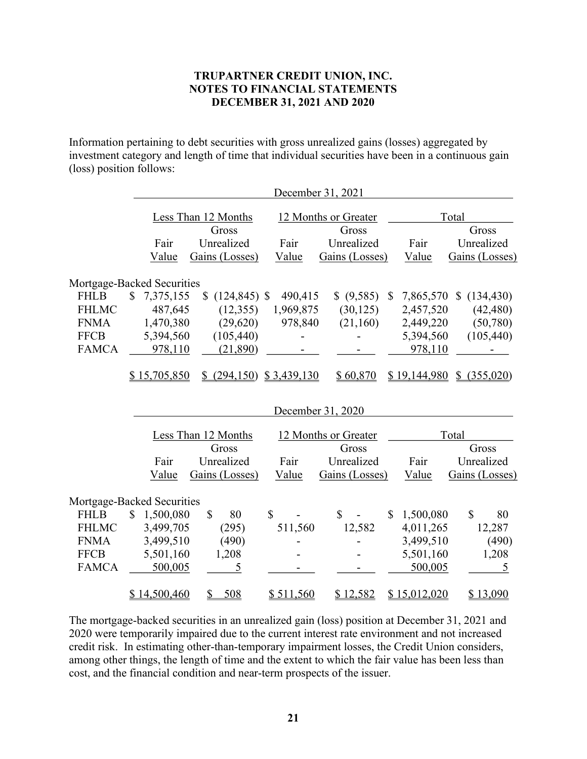Information pertaining to debt securities with gross unrealized gains (losses) aggregated by investment category and length of time that individual securities have been in a continuous gain (loss) position follows:

|                            |                 |                       |             | December 31, 2021    |                           |                            |
|----------------------------|-----------------|-----------------------|-------------|----------------------|---------------------------|----------------------------|
|                            |                 | Less Than 12 Months   |             | 12 Months or Greater |                           | Total                      |
|                            |                 | Gross                 |             | Gross                |                           | Gross                      |
|                            | Fair            | Unrealized            | Fair        | Unrealized           | Fair                      | Unrealized                 |
|                            | Value           | Gains (Losses)        | Value       | Gains (Losses)       | Value                     | Gains (Losses)             |
| Mortgage-Backed Securities |                 |                       |             |                      |                           |                            |
| <b>FHLB</b>                | \$<br>7,375,155 | \$<br>$(124, 845)$ \$ | 490,415     | \$ (9,585)           | 7,865,570<br>$\mathbb{S}$ | (134, 430)<br>$\mathbb{S}$ |
| <b>FHLMC</b>               | 487,645         | (12, 355)             | 1,969,875   | (30, 125)            | 2,457,520                 | (42, 480)                  |
| <b>FNMA</b>                | 1,470,380       | (29, 620)             | 978,840     | (21,160)             | 2,449,220                 | (50,780)                   |
| <b>FFCB</b>                | 5,394,560       | (105, 440)            |             |                      | 5,394,560                 | (105, 440)                 |
| <b>FAMCA</b>               | 978,110         | (21,890)              |             |                      | 978,110                   |                            |
|                            |                 |                       |             |                      |                           |                            |
|                            | \$15,705,850    | (294, 150)            | \$3,439,130 | \$60,870             | \$19,144,980              | \$ (355,020)               |
|                            |                 |                       |             |                      |                           |                            |
|                            |                 |                       |             | December 31, 2020    |                           |                            |
|                            |                 | Less Than 12 Months   |             | 12 Months or Greater |                           | Total                      |
|                            |                 | Gross                 |             | Gross                |                           | Gross                      |
|                            | Fair            | Unrealized            | Fair        | Unrealized           | Fair                      | Unrealized                 |
|                            | Value           | Gains (Losses)        | Value       | Gains (Losses)       | Value                     | Gains (Losses)             |
|                            |                 |                       |             |                      |                           |                            |
| Mortgage-Backed Securities |                 |                       |             |                      |                           |                            |
| <b>FHLB</b>                | \$<br>1,500,080 | \$<br>80              | \$          | $\mathbb{S}$         | 1,500,080<br>\$           | $\mathbb{S}$<br>80         |
| <b>FHLMC</b>               | 3,499,705       | (295)                 | 511,560     | 12,582               | 4,011,265                 | 12,287                     |
| <b>FNMA</b>                | 3,499,510       | (490)                 |             |                      | 3,499,510                 | (490)                      |
| <b>FFCB</b>                | 5,501,160       | 1,208                 |             |                      | 5,501,160                 | 1,208                      |
| <b>FAMCA</b>               | 500,005         | 5                     |             |                      | 500,005                   | 5                          |
|                            | \$14,500,460    | 508<br>\$             | \$511,560   | \$12,582             | \$15,012,020              | \$13,090                   |

The mortgage-backed securities in an unrealized gain (loss) position at December 31, 2021 and 2020 were temporarily impaired due to the current interest rate environment and not increased credit risk. In estimating other-than-temporary impairment losses, the Credit Union considers, among other things, the length of time and the extent to which the fair value has been less than cost, and the financial condition and near-term prospects of the issuer.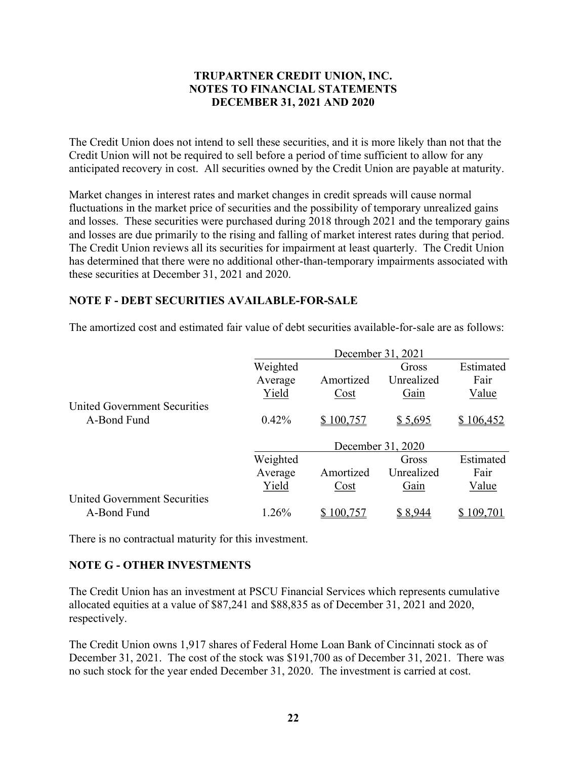The Credit Union does not intend to sell these securities, and it is more likely than not that the Credit Union will not be required to sell before a period of time sufficient to allow for any anticipated recovery in cost. All securities owned by the Credit Union are payable at maturity.

Market changes in interest rates and market changes in credit spreads will cause normal fluctuations in the market price of securities and the possibility of temporary unrealized gains and losses. These securities were purchased during 2018 through 2021 and the temporary gains and losses are due primarily to the rising and falling of market interest rates during that period. The Credit Union reviews all its securities for impairment at least quarterly. The Credit Union has determined that there were no additional other-than-temporary impairments associated with these securities at December 31, 2021 and 2020.

#### NOTE F - DEBT SECURITIES AVAILABLE-FOR-SALE

The amortized cost and estimated fair value of debt securities available-for-sale are as follows:

|                                     | December 31, 2021 |           |                   |           |  |
|-------------------------------------|-------------------|-----------|-------------------|-----------|--|
|                                     | Weighted          |           | Gross             | Estimated |  |
|                                     | Average           | Amortized | Unrealized        | Fair      |  |
|                                     | Yield             | Cost      | Gain              | Value     |  |
| United Government Securities        |                   |           |                   |           |  |
| A-Bond Fund                         | 0.42%             | \$100,757 | \$5,695           | \$106,452 |  |
|                                     |                   |           |                   |           |  |
|                                     |                   |           | December 31, 2020 |           |  |
|                                     | Weighted          |           | Gross             | Estimated |  |
|                                     | Average           | Amortized | Unrealized        | Fair      |  |
|                                     | Yield             | Cost      | Gain              | Value     |  |
| <b>United Government Securities</b> |                   |           |                   |           |  |
| A-Bond Fund                         | 1.26%             | 100,757   | \$8.944           | 09.701    |  |

There is no contractual maturity for this investment.

#### NOTE G - OTHER INVESTMENTS

The Credit Union has an investment at PSCU Financial Services which represents cumulative allocated equities at a value of \$87,241 and \$88,835 as of December 31, 2021 and 2020, respectively.

The Credit Union owns 1,917 shares of Federal Home Loan Bank of Cincinnati stock as of December 31, 2021. The cost of the stock was \$191,700 as of December 31, 2021. There was no such stock for the year ended December 31, 2020. The investment is carried at cost.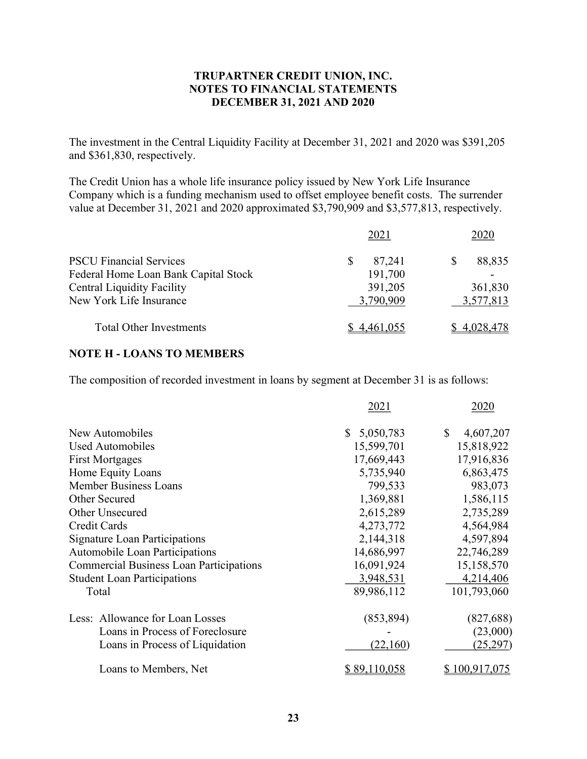The investment in the Central Liquidity Facility at December 31, 2021 and 2020 was \$391,205 and \$361,830, respectively.

The Credit Union has a whole life insurance policy issued by New York Life Insurance Company which is a funding mechanism used to offset employee benefit costs. The surrender value at December 31, 2021 and 2020 approximated \$3,790,909 and \$3,577,813, respectively.

|                                      | 2021        | 2020        |
|--------------------------------------|-------------|-------------|
| <b>PSCU Financial Services</b>       | 87,241      | 88,835      |
| Federal Home Loan Bank Capital Stock | 191,700     |             |
| <b>Central Liquidity Facility</b>    | 391,205     | 361,830     |
| New York Life Insurance              | 3,790,909   | 3,577,813   |
| <b>Total Other Investments</b>       | \$4,461,055 | \$4,028,478 |

#### NOTE H - LOANS TO MEMBERS

The composition of recorded investment in loans by segment at December 31 is as follows:

|                                                | 2021            | 2020            |
|------------------------------------------------|-----------------|-----------------|
| New Automobiles                                | 5,050,783<br>S. | \$<br>4,607,207 |
| Used Automobiles                               | 15,599,701      | 15,818,922      |
| <b>First Mortgages</b>                         | 17,669,443      | 17,916,836      |
| Home Equity Loans                              | 5,735,940       | 6,863,475       |
| <b>Member Business Loans</b>                   | 799,533         | 983,073         |
| Other Secured                                  | 1,369,881       | 1,586,115       |
| Other Unsecured                                | 2,615,289       | 2,735,289       |
| <b>Credit Cards</b>                            | 4,273,772       | 4,564,984       |
| <b>Signature Loan Participations</b>           | 2,144,318       | 4,597,894       |
| Automobile Loan Participations                 | 14,686,997      | 22,746,289      |
| <b>Commercial Business Loan Participations</b> | 16,091,924      | 15,158,570      |
| <b>Student Loan Participations</b>             | 3,948,531       | 4,214,406       |
| Total                                          | 89,986,112      | 101,793,060     |
| Less: Allowance for Loan Losses                | (853, 894)      | (827, 688)      |
| Loans in Process of Foreclosure                |                 | (23,000)        |
| Loans in Process of Liquidation                | (22,160)        | (25, 297)       |
| Loans to Members, Net                          | \$89,110,058    | 100,917,075     |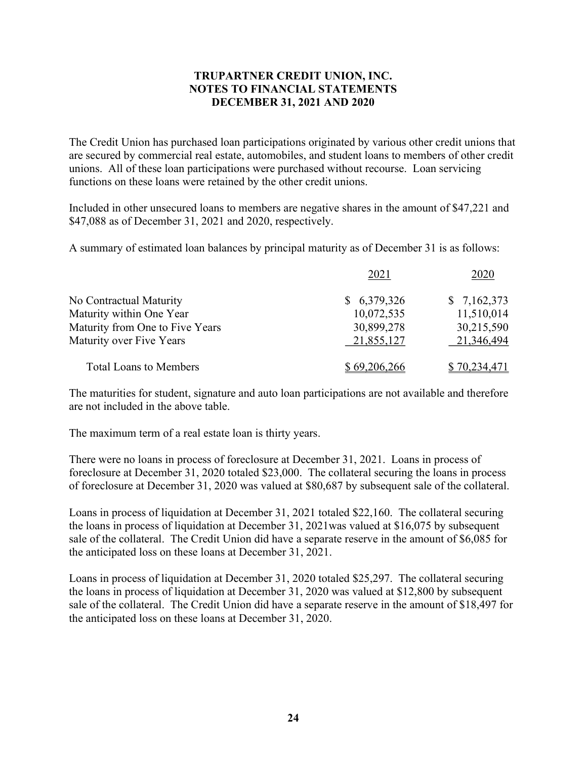The Credit Union has purchased loan participations originated by various other credit unions that are secured by commercial real estate, automobiles, and student loans to members of other credit unions. All of these loan participations were purchased without recourse. Loan servicing functions on these loans were retained by the other credit unions.

Included in other unsecured loans to members are negative shares in the amount of \$47,221 and \$47,088 as of December 31, 2021 and 2020, respectively.

A summary of estimated loan balances by principal maturity as of December 31 is as follows:

|                                 | 2021         | 2020         |
|---------------------------------|--------------|--------------|
| No Contractual Maturity         | \$6,379,326  | \$7,162,373  |
| Maturity within One Year        | 10,072,535   | 11,510,014   |
| Maturity from One to Five Years | 30,899,278   | 30,215,590   |
| Maturity over Five Years        | 21,855,127   | 21,346,494   |
| <b>Total Loans to Members</b>   | \$69,206,266 | \$70,234,471 |

The maturities for student, signature and auto loan participations are not available and therefore are not included in the above table.

The maximum term of a real estate loan is thirty years.

There were no loans in process of foreclosure at December 31, 2021. Loans in process of foreclosure at December 31, 2020 totaled \$23,000. The collateral securing the loans in process of foreclosure at December 31, 2020 was valued at \$80,687 by subsequent sale of the collateral.

Loans in process of liquidation at December 31, 2021 totaled \$22,160. The collateral securing the loans in process of liquidation at December 31, 2021was valued at \$16,075 by subsequent sale of the collateral. The Credit Union did have a separate reserve in the amount of \$6,085 for the anticipated loss on these loans at December 31, 2021.

Loans in process of liquidation at December 31, 2020 totaled \$25,297. The collateral securing the loans in process of liquidation at December 31, 2020 was valued at \$12,800 by subsequent sale of the collateral. The Credit Union did have a separate reserve in the amount of \$18,497 for the anticipated loss on these loans at December 31, 2020.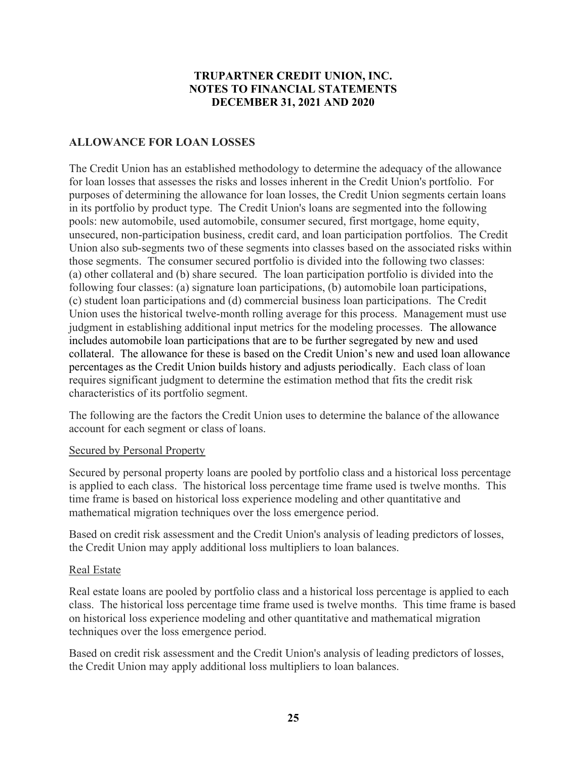# ALLOWANCE FOR LOAN LOSSES

The Credit Union has an established methodology to determine the adequacy of the allowance for loan losses that assesses the risks and losses inherent in the Credit Union's portfolio. For purposes of determining the allowance for loan losses, the Credit Union segments certain loans in its portfolio by product type. The Credit Union's loans are segmented into the following pools: new automobile, used automobile, consumer secured, first mortgage, home equity, unsecured, non-participation business, credit card, and loan participation portfolios. The Credit Union also sub-segments two of these segments into classes based on the associated risks within those segments. The consumer secured portfolio is divided into the following two classes: (a) other collateral and (b) share secured. The loan participation portfolio is divided into the following four classes: (a) signature loan participations, (b) automobile loan participations, (c) student loan participations and (d) commercial business loan participations. The Credit Union uses the historical twelve-month rolling average for this process. Management must use judgment in establishing additional input metrics for the modeling processes. The allowance includes automobile loan participations that are to be further segregated by new and used collateral. The allowance for these is based on the Credit Union's new and used loan allowance percentages as the Credit Union builds history and adjusts periodically. Each class of loan requires significant judgment to determine the estimation method that fits the credit risk characteristics of its portfolio segment.

The following are the factors the Credit Union uses to determine the balance of the allowance account for each segment or class of loans.

# Secured by Personal Property

Secured by personal property loans are pooled by portfolio class and a historical loss percentage is applied to each class. The historical loss percentage time frame used is twelve months. This time frame is based on historical loss experience modeling and other quantitative and mathematical migration techniques over the loss emergence period.

Based on credit risk assessment and the Credit Union's analysis of leading predictors of losses, the Credit Union may apply additional loss multipliers to loan balances.

#### Real Estate

Real estate loans are pooled by portfolio class and a historical loss percentage is applied to each class. The historical loss percentage time frame used is twelve months. This time frame is based on historical loss experience modeling and other quantitative and mathematical migration techniques over the loss emergence period.

Based on credit risk assessment and the Credit Union's analysis of leading predictors of losses, the Credit Union may apply additional loss multipliers to loan balances.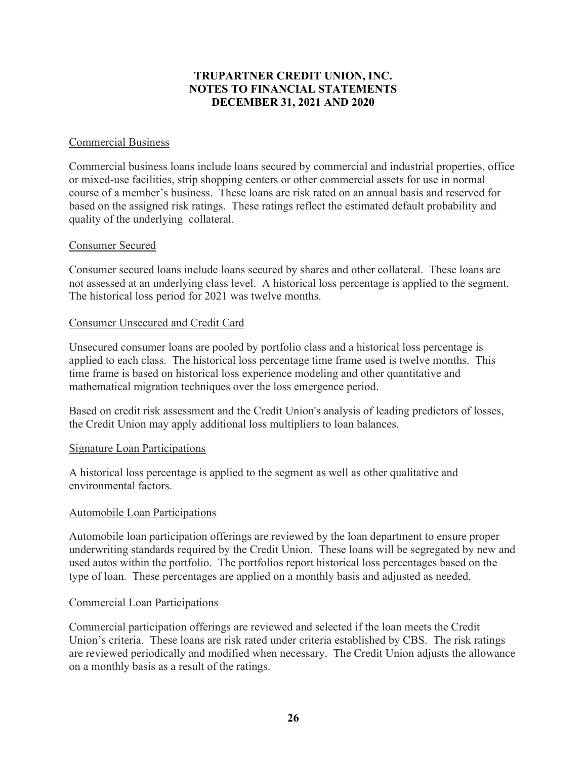#### Commercial Business

Commercial business loans include loans secured by commercial and industrial properties, office or mixed-use facilities, strip shopping centers or other commercial assets for use in normal course of a member's business. These loans are risk rated on an annual basis and reserved for based on the assigned risk ratings. These ratings reflect the estimated default probability and quality of the underlying collateral.

#### Consumer Secured

Consumer secured loans include loans secured by shares and other collateral. These loans are not assessed at an underlying class level. A historical loss percentage is applied to the segment. The historical loss period for 2021 was twelve months.

#### Consumer Unsecured and Credit Card

Unsecured consumer loans are pooled by portfolio class and a historical loss percentage is applied to each class. The historical loss percentage time frame used is twelve months. This time frame is based on historical loss experience modeling and other quantitative and mathematical migration techniques over the loss emergence period.

Based on credit risk assessment and the Credit Union's analysis of leading predictors of losses, the Credit Union may apply additional loss multipliers to loan balances.

#### Signature Loan Participations

A historical loss percentage is applied to the segment as well as other qualitative and environmental factors.

#### Automobile Loan Participations

Automobile loan participation offerings are reviewed by the loan department to ensure proper underwriting standards required by the Credit Union. These loans will be segregated by new and used autos within the portfolio. The portfolios report historical loss percentages based on the type of loan. These percentages are applied on a monthly basis and adjusted as needed.

#### Commercial Loan Participations

Commercial participation offerings are reviewed and selected if the loan meets the Credit Union's criteria. These loans are risk rated under criteria established by CBS. The risk ratings are reviewed periodically and modified when necessary. The Credit Union adjusts the allowance on a monthly basis as a result of the ratings.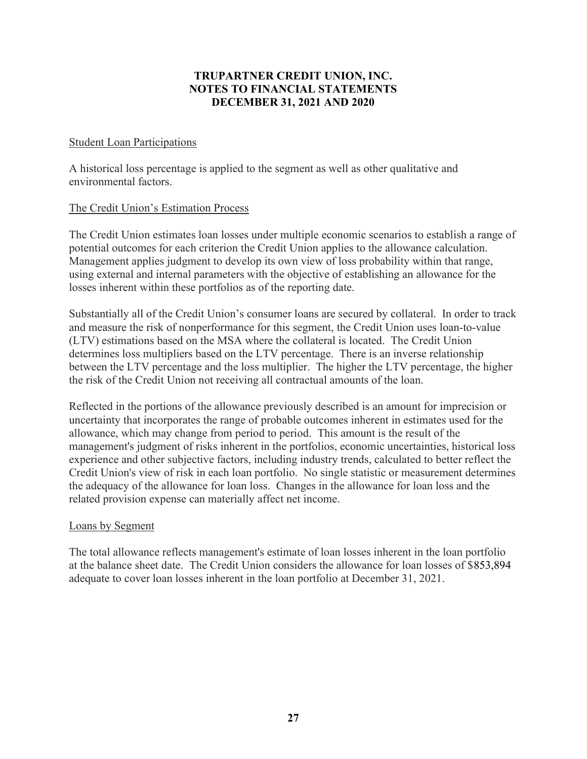# Student Loan Participations

A historical loss percentage is applied to the segment as well as other qualitative and environmental factors.

#### The Credit Union's Estimation Process

The Credit Union estimates loan losses under multiple economic scenarios to establish a range of potential outcomes for each criterion the Credit Union applies to the allowance calculation. Management applies judgment to develop its own view of loss probability within that range, using external and internal parameters with the objective of establishing an allowance for the losses inherent within these portfolios as of the reporting date.

Substantially all of the Credit Union's consumer loans are secured by collateral. In order to track and measure the risk of nonperformance for this segment, the Credit Union uses loan-to-value (LTV) estimations based on the MSA where the collateral is located. The Credit Union determines loss multipliers based on the LTV percentage. There is an inverse relationship between the LTV percentage and the loss multiplier. The higher the LTV percentage, the higher the risk of the Credit Union not receiving all contractual amounts of the loan.

Reflected in the portions of the allowance previously described is an amount for imprecision or uncertainty that incorporates the range of probable outcomes inherent in estimates used for the allowance, which may change from period to period. This amount is the result of the management's judgment of risks inherent in the portfolios, economic uncertainties, historical loss experience and other subjective factors, including industry trends, calculated to better reflect the Credit Union's view of risk in each loan portfolio. No single statistic or measurement determines the adequacy of the allowance for loan loss. Changes in the allowance for loan loss and the related provision expense can materially affect net income.

#### Loans by Segment

The total allowance reflects management's estimate of loan losses inherent in the loan portfolio at the balance sheet date. The Credit Union considers the allowance for loan losses of \$853,894 adequate to cover loan losses inherent in the loan portfolio at December 31, 2021.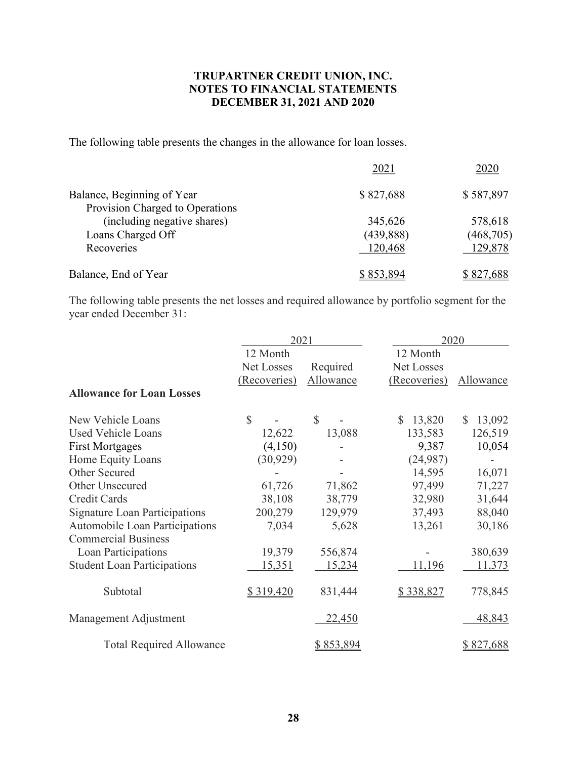The following table presents the changes in the allowance for loan losses.

|                                 | 2021       | 2020       |
|---------------------------------|------------|------------|
| Balance, Beginning of Year      | \$827,688  | \$587,897  |
| Provision Charged to Operations |            |            |
| (including negative shares)     | 345,626    | 578,618    |
| Loans Charged Off               | (439, 888) | (468, 705) |
| Recoveries                      | 120,468    | 129,878    |
| Balance, End of Year            | \$853,894  | \$827,688  |

The following table presents the net losses and required allowance by portfolio segment for the year ended December 31:

|                                      | 2021          |               |                        | 2020                   |  |
|--------------------------------------|---------------|---------------|------------------------|------------------------|--|
|                                      | 12 Month      |               | 12 Month               |                        |  |
|                                      | Net Losses    | Required      | Net Losses             |                        |  |
|                                      | (Recoveries)  | Allowance     | (Recoveries)           | Allowance              |  |
| <b>Allowance for Loan Losses</b>     |               |               |                        |                        |  |
| New Vehicle Loans                    | $\mathcal{S}$ | $\mathbb{S}$  | $\mathbb{S}$<br>13,820 | 13,092<br>$\mathbb{S}$ |  |
| <b>Used Vehicle Loans</b>            | 12,622        | 13,088        | 133,583                | 126,519                |  |
| <b>First Mortgages</b>               | (4,150)       |               | 9,387                  | 10,054                 |  |
| Home Equity Loans                    | (30, 929)     |               | (24,987)               |                        |  |
| Other Secured                        |               |               | 14,595                 | 16,071                 |  |
| Other Unsecured                      | 61,726        | 71,862        | 97,499                 | 71,227                 |  |
| <b>Credit Cards</b>                  | 38,108        | 38,779        | 32,980                 | 31,644                 |  |
| <b>Signature Loan Participations</b> | 200,279       | 129,979       | 37,493                 | 88,040                 |  |
| Automobile Loan Participations       | 7,034         | 5,628         | 13,261                 | 30,186                 |  |
| <b>Commercial Business</b>           |               |               |                        |                        |  |
| Loan Participations                  | 19,379        | 556,874       |                        | 380,639                |  |
| <b>Student Loan Participations</b>   | 15,351        | 15,234        | 11,196                 | 11,373                 |  |
| Subtotal                             | \$319,420     | 831,444       | \$338,827              | 778,845                |  |
| Management Adjustment                |               | <u>22,450</u> |                        | 48,843                 |  |
| <b>Total Required Allowance</b>      |               | \$853,894     |                        | \$827,688              |  |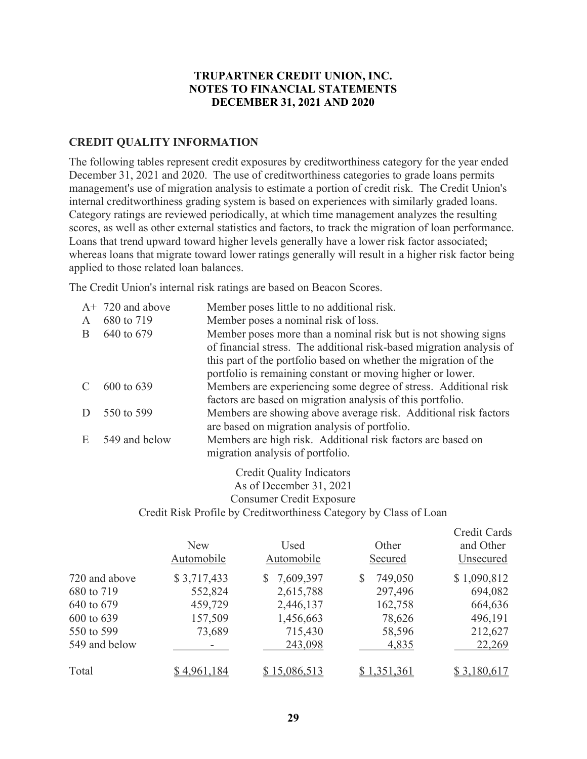#### CREDIT QUALITY INFORMATION

The following tables represent credit exposures by creditworthiness category for the year ended December 31, 2021 and 2020. The use of creditworthiness categories to grade loans permits management's use of migration analysis to estimate a portion of credit risk. The Credit Union's internal creditworthiness grading system is based on experiences with similarly graded loans. Category ratings are reviewed periodically, at which time management analyzes the resulting scores, as well as other external statistics and factors, to track the migration of loan performance. Loans that trend upward toward higher levels generally have a lower risk factor associated; whereas loans that migrate toward lower ratings generally will result in a higher risk factor being applied to those related loan balances.

The Credit Union's internal risk ratings are based on Beacon Scores.

|              | $A+ 720$ and above | Member poses little to no additional risk.                                                      |
|--------------|--------------------|-------------------------------------------------------------------------------------------------|
| $\mathsf{A}$ | 680 to 719         | Member poses a nominal risk of loss.                                                            |
| B            | 640 to 679         | Member poses more than a nominal risk but is not showing signs                                  |
|              |                    | of financial stress. The additional risk-based migration analysis of                            |
|              |                    | this part of the portfolio based on whether the migration of the                                |
|              |                    | portfolio is remaining constant or moving higher or lower.                                      |
|              | 600 to 639         | Members are experiencing some degree of stress. Additional risk                                 |
|              |                    | factors are based on migration analysis of this portfolio.                                      |
|              | 550 to 599         | Members are showing above average risk. Additional risk factors                                 |
|              |                    | are based on migration analysis of portfolio.                                                   |
| E            | 549 and below      | Members are high risk. Additional risk factors are based on<br>migration analysis of portfolio. |
|              |                    |                                                                                                 |

Credit Quality Indicators As of December 31, 2021 Consumer Credit Exposure Credit Risk Profile by Creditworthiness Category by Class of Loan

|               | <b>New</b><br>Automobile | Used<br>Automobile | Other<br>Secured | Credit Cards<br>and Other<br>Unsecured |
|---------------|--------------------------|--------------------|------------------|----------------------------------------|
| 720 and above | \$3,717,433              | 7,609,397<br>S.    | 749,050<br>\$    | \$1,090,812                            |
| 680 to 719    | 552,824                  | 2,615,788          | 297,496          | 694,082                                |
| 640 to 679    | 459,729                  | 2,446,137          | 162,758          | 664,636                                |
| 600 to 639    | 157,509                  | 1,456,663          | 78,626           | 496,191                                |
| 550 to 599    | 73,689                   | 715,430            | 58,596           | 212,627                                |
| 549 and below |                          | 243,098            | 4,835            | 22,269                                 |
| Total         | \$4,961,184              | \$15,086,513       | \$1,351,361      | \$3,180,617                            |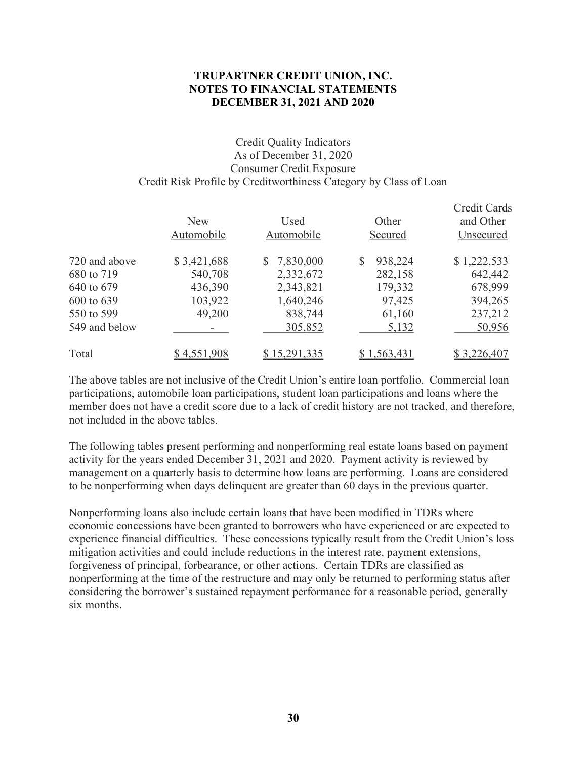#### Credit Quality Indicators As of December 31, 2020 Consumer Credit Exposure Credit Risk Profile by Creditworthiness Category by Class of Loan

|               | <b>New</b><br>Automobile | Used<br>Automobile | Other<br>Secured | Credit Cards<br>and Other<br>Unsecured |
|---------------|--------------------------|--------------------|------------------|----------------------------------------|
| 720 and above | \$3,421,688              | 7,830,000<br>S.    | 938,224<br>S     | \$1,222,533                            |
| 680 to 719    | 540,708                  | 2,332,672          | 282,158          | 642,442                                |
| 640 to 679    | 436,390                  | 2,343,821          | 179,332          | 678,999                                |
| 600 to 639    | 103,922                  | 1,640,246          | 97,425           | 394,265                                |
| 550 to 599    | 49,200                   | 838,744            | 61,160           | 237,212                                |
| 549 and below | ۰.                       | 305,852            | 5,132            | 50,956                                 |
| Total         | \$4,551,908              | \$15,291,335       | \$1,563,431      | \$3,226,407                            |

The above tables are not inclusive of the Credit Union's entire loan portfolio. Commercial loan participations, automobile loan participations, student loan participations and loans where the member does not have a credit score due to a lack of credit history are not tracked, and therefore, not included in the above tables.

The following tables present performing and nonperforming real estate loans based on payment activity for the years ended December 31, 2021 and 2020. Payment activity is reviewed by management on a quarterly basis to determine how loans are performing. Loans are considered to be nonperforming when days delinquent are greater than 60 days in the previous quarter.

Nonperforming loans also include certain loans that have been modified in TDRs where economic concessions have been granted to borrowers who have experienced or are expected to experience financial difficulties. These concessions typically result from the Credit Union's loss mitigation activities and could include reductions in the interest rate, payment extensions, forgiveness of principal, forbearance, or other actions. Certain TDRs are classified as nonperforming at the time of the restructure and may only be returned to performing status after considering the borrower's sustained repayment performance for a reasonable period, generally six months.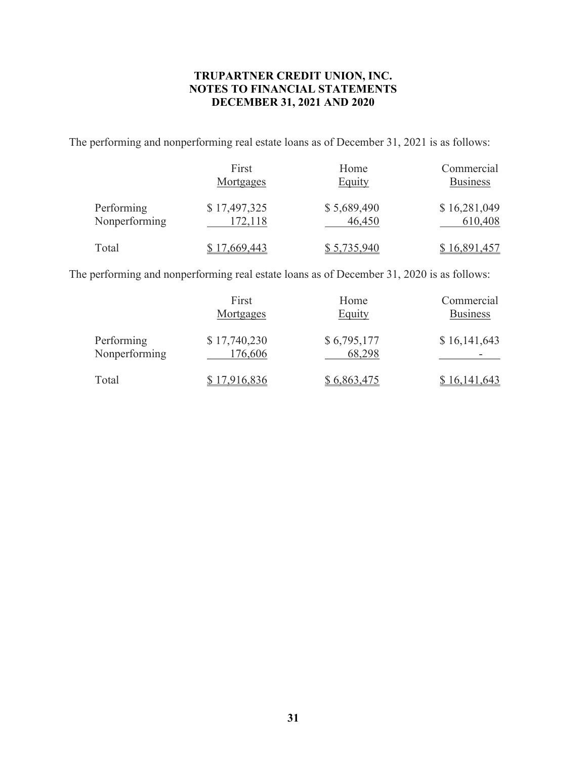The performing and nonperforming real estate loans as of December 31, 2021 is as follows:

|                             | First<br>Mortgages      | Home<br>Equity        | Commercial<br><b>Business</b> |
|-----------------------------|-------------------------|-----------------------|-------------------------------|
| Performing<br>Nonperforming | \$17,497,325<br>172,118 | \$5,689,490<br>46,450 | \$16,281,049<br>610,408       |
| Total                       | \$17,669,443            | \$5,735,940           | \$16,891,457                  |

The performing and nonperforming real estate loans as of December 31, 2020 is as follows:

|               | First        | Home        | Commercial      |
|---------------|--------------|-------------|-----------------|
|               | Mortgages    | Equity      | <b>Business</b> |
| Performing    | \$17,740,230 | \$6,795,177 | \$16,141,643    |
| Nonperforming | 176,606      | 68,298      |                 |
| Total         | \$17,916,836 | \$6,863,475 | \$16,141,643    |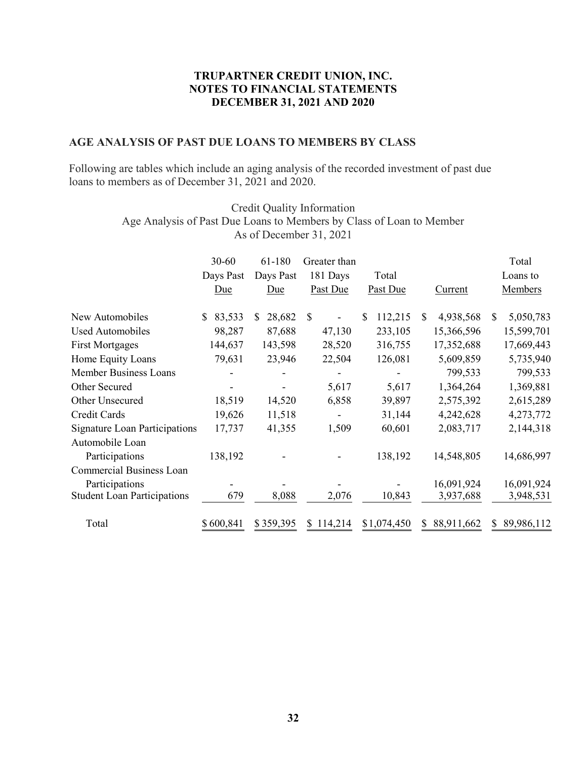#### AGE ANALYSIS OF PAST DUE LOANS TO MEMBERS BY CLASS

|                                                                                                                                                   |                                         |                                                | TRUPARTNER CREDIT UNION, INC.<br><b>NOTES TO FINANCIAL STATEMENTS</b><br><b>DECEMBER 31, 2021 AND 2020</b> |                                            |                                                          |                                                                    |
|---------------------------------------------------------------------------------------------------------------------------------------------------|-----------------------------------------|------------------------------------------------|------------------------------------------------------------------------------------------------------------|--------------------------------------------|----------------------------------------------------------|--------------------------------------------------------------------|
| <b>AGE ANALYSIS OF PAST DUE LOANS TO MEMBERS BY CLASS</b>                                                                                         |                                         |                                                |                                                                                                            |                                            |                                                          |                                                                    |
| Following are tables which include an aging analysis of the recorded investment of past due<br>loans to members as of December 31, 2021 and 2020. |                                         |                                                |                                                                                                            |                                            |                                                          |                                                                    |
| Age Analysis of Past Due Loans to Members by Class of Loan to Member                                                                              |                                         |                                                | Credit Quality Information<br>As of December 31, 2021                                                      |                                            |                                                          |                                                                    |
|                                                                                                                                                   | $30 - 60$<br>Days Past<br>Due           | 61-180<br>Days Past<br>Due                     | Greater than<br>181 Days<br>Past Due                                                                       | Total<br>Past Due                          | <b>Current</b>                                           | Total<br>Loans to<br>Members                                       |
| New Automobiles<br><b>Used Automobiles</b><br><b>First Mortgages</b><br>Home Equity Loans                                                         | \$83,533<br>98,287<br>144,637<br>79,631 | $$28,682$ \, \$<br>87,688<br>143,598<br>23,946 | 47,130<br>28,520<br>22,504                                                                                 | \$112,215<br>233,105<br>316,755<br>126,081 | 4,938,568<br>\$<br>15,366,596<br>17,352,688<br>5,609,859 | 5,050,783<br><sup>S</sup><br>15,599,701<br>17,669,443<br>5,735,940 |
| <b>Member Business Loans</b><br>Other Secured<br>Other Unsecured                                                                                  | 18,519                                  | $\blacksquare$<br>14,520                       | 5,617<br>6,858                                                                                             | 5,617<br>39,897                            | 799,533<br>1,364,264<br>2,575,392                        | 799,533<br>1,369,881<br>2,615,289                                  |
| Credit Cards<br><b>Signature Loan Participations</b><br>Automobile Loan                                                                           | 19,626<br>17,737                        | 11,518<br>41,355                               | $\sim$<br>1,509                                                                                            | 31,144<br>60,601                           | 4,242,628<br>2,083,717                                   | 4,273,772<br>2,144,318                                             |
| Participations<br>Commercial Business Loan                                                                                                        | 138,192                                 |                                                |                                                                                                            | 138,192                                    | 14,548,805                                               | 14,686,997                                                         |
| Participations<br><b>Student Loan Participations</b>                                                                                              | 679                                     | 8,088                                          | 2,076                                                                                                      | 10,843                                     | 16,091,924<br>3,937,688                                  | 16,091,924<br>3,948,531                                            |
| Total                                                                                                                                             | \$600,841                               | \$359,395                                      | \$114,214                                                                                                  | \$1,074,450                                | \$ 88,911,662                                            | \$89,986,112                                                       |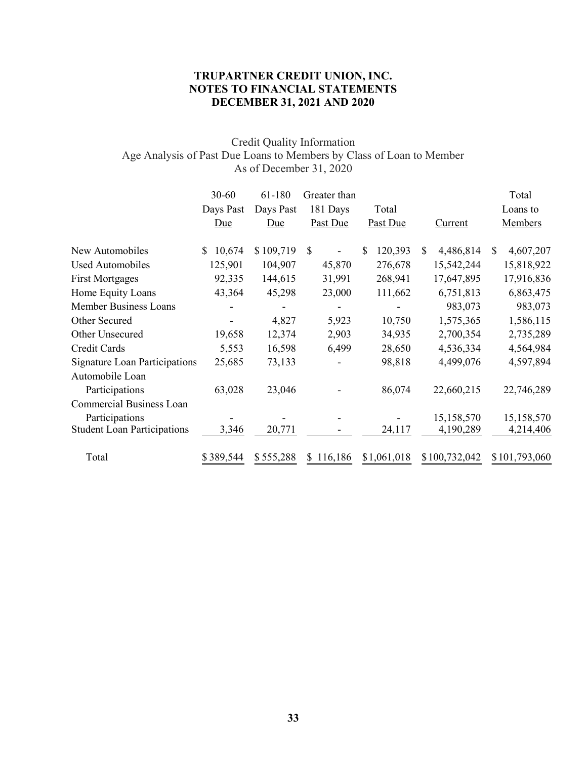# Credit Quality Information Age Analysis of Past Due Loans to Members by Class of Loan to Member As of December 31, 2020

|                                                      | TRUPARTNER CREDIT UNION, INC.<br><b>NOTES TO FINANCIAL STATEMENTS</b><br>DECEMBER 31, 2021 AND 2020                           |                                    |                                      |                          |                           |                              |  |  |
|------------------------------------------------------|-------------------------------------------------------------------------------------------------------------------------------|------------------------------------|--------------------------------------|--------------------------|---------------------------|------------------------------|--|--|
|                                                      | Credit Quality Information<br>Age Analysis of Past Due Loans to Members by Class of Loan to Member<br>As of December 31, 2020 |                                    |                                      |                          |                           |                              |  |  |
|                                                      | $30 - 60$<br>Days Past<br>Due                                                                                                 | 61-180<br>Days Past<br>Due         | Greater than<br>181 Days<br>Past Due | Total<br><b>Past Due</b> | <b>Current</b>            | Total<br>Loans to<br>Members |  |  |
| New Automobiles                                      | $\mathbb{S}^-$<br>10,674                                                                                                      | $$109,719$ \\$                     |                                      | \$<br>120,393            | $\mathbb{S}$<br>4,486,814 | 4,607,207<br>\$              |  |  |
| <b>Used Automobiles</b>                              | 125,901                                                                                                                       | 104,907                            | 45,870                               | 276,678                  | 15,542,244                | 15,818,922                   |  |  |
| <b>First Mortgages</b>                               | 92,335                                                                                                                        | 144,615                            | 31,991                               | 268,941                  | 17,647,895                | 17,916,836                   |  |  |
| Home Equity Loans                                    | 43,364                                                                                                                        | 45,298                             | 23,000                               | 111,662                  | 6,751,813                 | 6,863,475                    |  |  |
| <b>Member Business Loans</b><br>Other Secured        | $\overline{\phantom{a}}$                                                                                                      | $\blacksquare$<br>4,827            | 5,923                                | 10,750                   | 983,073<br>1,575,365      | 983,073<br>1,586,115         |  |  |
| Other Unsecured                                      | 19,658                                                                                                                        | 12,374                             | 2,903                                | 34,935                   | 2,700,354                 | 2,735,289                    |  |  |
| Credit Cards                                         | 5,553                                                                                                                         | 16,598                             | 6,499                                | 28,650                   | 4,536,334                 | 4,564,984                    |  |  |
| <b>Signature Loan Participations</b>                 | 25,685                                                                                                                        | 73,133                             | $\overline{\phantom{a}}$             | 98,818                   | 4,499,076                 | 4,597,894                    |  |  |
| Automobile Loan                                      |                                                                                                                               |                                    |                                      |                          |                           |                              |  |  |
| Participations                                       | 63,028                                                                                                                        | 23,046                             |                                      | 86,074                   | 22,660,215                | 22,746,289                   |  |  |
| Commercial Business Loan                             |                                                                                                                               |                                    |                                      |                          |                           |                              |  |  |
| Participations<br><b>Student Loan Participations</b> | ۰<br>3,346                                                                                                                    | $\overline{\phantom{a}}$<br>20,771 | $\overline{a}$                       | $\blacksquare$<br>24,117 | 15,158,570<br>4,190,289   | 15,158,570<br>4,214,406      |  |  |
| Total                                                | \$389,544                                                                                                                     | \$555,288                          | \$116,186                            | \$1,061,018              | \$100,732,042             | \$101,793,060                |  |  |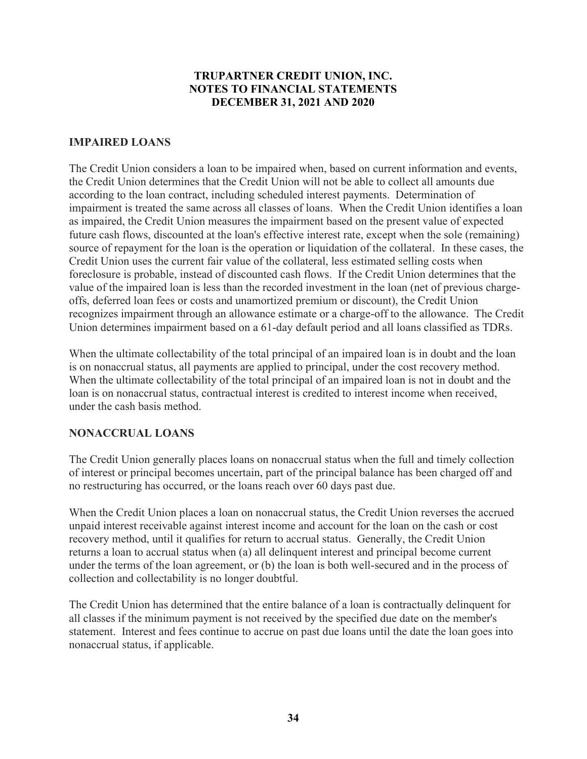# IMPAIRED LOANS

The Credit Union considers a loan to be impaired when, based on current information and events, the Credit Union determines that the Credit Union will not be able to collect all amounts due according to the loan contract, including scheduled interest payments. Determination of impairment is treated the same across all classes of loans. When the Credit Union identifies a loan as impaired, the Credit Union measures the impairment based on the present value of expected future cash flows, discounted at the loan's effective interest rate, except when the sole (remaining) source of repayment for the loan is the operation or liquidation of the collateral. In these cases, the Credit Union uses the current fair value of the collateral, less estimated selling costs when foreclosure is probable, instead of discounted cash flows. If the Credit Union determines that the value of the impaired loan is less than the recorded investment in the loan (net of previous chargeoffs, deferred loan fees or costs and unamortized premium or discount), the Credit Union recognizes impairment through an allowance estimate or a charge-off to the allowance. The Credit Union determines impairment based on a 61-day default period and all loans classified as TDRs.

When the ultimate collectability of the total principal of an impaired loan is in doubt and the loan is on nonaccrual status, all payments are applied to principal, under the cost recovery method. When the ultimate collectability of the total principal of an impaired loan is not in doubt and the loan is on nonaccrual status, contractual interest is credited to interest income when received, under the cash basis method.

# NONACCRUAL LOANS

The Credit Union generally places loans on nonaccrual status when the full and timely collection of interest or principal becomes uncertain, part of the principal balance has been charged off and no restructuring has occurred, or the loans reach over 60 days past due.

When the Credit Union places a loan on nonaccrual status, the Credit Union reverses the accrued unpaid interest receivable against interest income and account for the loan on the cash or cost recovery method, until it qualifies for return to accrual status. Generally, the Credit Union returns a loan to accrual status when (a) all delinquent interest and principal become current under the terms of the loan agreement, or (b) the loan is both well-secured and in the process of collection and collectability is no longer doubtful.

The Credit Union has determined that the entire balance of a loan is contractually delinquent for all classes if the minimum payment is not received by the specified due date on the member's statement. Interest and fees continue to accrue on past due loans until the date the loan goes into nonaccrual status, if applicable.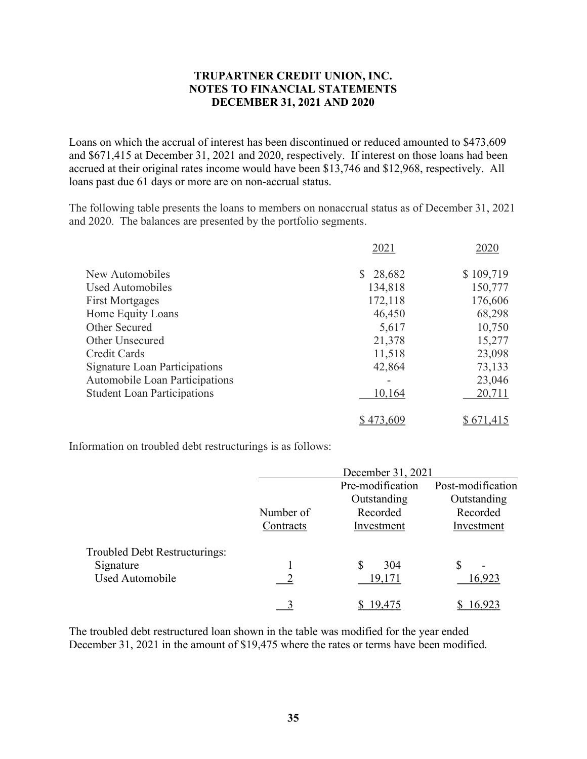Loans on which the accrual of interest has been discontinued or reduced amounted to \$473,609 and \$671,415 at December 31, 2021 and 2020, respectively. If interest on those loans had been accrued at their original rates income would have been \$13,746 and \$12,968, respectively. All loans past due 61 days or more are on non-accrual status.

The following table presents the loans to members on nonaccrual status as of December 31, 2021 and 2020. The balances are presented by the portfolio segments.

|                                      | 2021         | 2020      |
|--------------------------------------|--------------|-----------|
| New Automobiles                      | S.<br>28,682 | \$109,719 |
| Used Automobiles                     | 134,818      | 150,777   |
| <b>First Mortgages</b>               | 172,118      | 176,606   |
| Home Equity Loans                    | 46,450       | 68,298    |
| Other Secured                        | 5,617        | 10,750    |
| <b>Other Unsecured</b>               | 21,378       | 15,277    |
| Credit Cards                         | 11,518       | 23,098    |
| <b>Signature Loan Participations</b> | 42,864       | 73,133    |
| Automobile Loan Participations       |              | 23,046    |
| <b>Student Loan Participations</b>   | 10,164       | 20,711    |
|                                      | \$473,609    | \$671,415 |
|                                      |              |           |

Information on troubled debt restructurings is as follows:

|                               |           | December 31, 2021 |                   |
|-------------------------------|-----------|-------------------|-------------------|
|                               |           | Pre-modification  | Post-modification |
|                               |           | Outstanding       | Outstanding       |
|                               | Number of | Recorded          | Recorded          |
|                               | Contracts | Investment        | Investment        |
| Troubled Debt Restructurings: |           |                   |                   |
| Signature                     |           | 304<br>S          | S<br>-            |
| Used Automobile               |           | 19,171            | 16,923            |
|                               |           | 19 475            | 6,923             |

The troubled debt restructured loan shown in the table was modified for the year ended December 31, 2021 in the amount of \$19,475 where the rates or terms have been modified.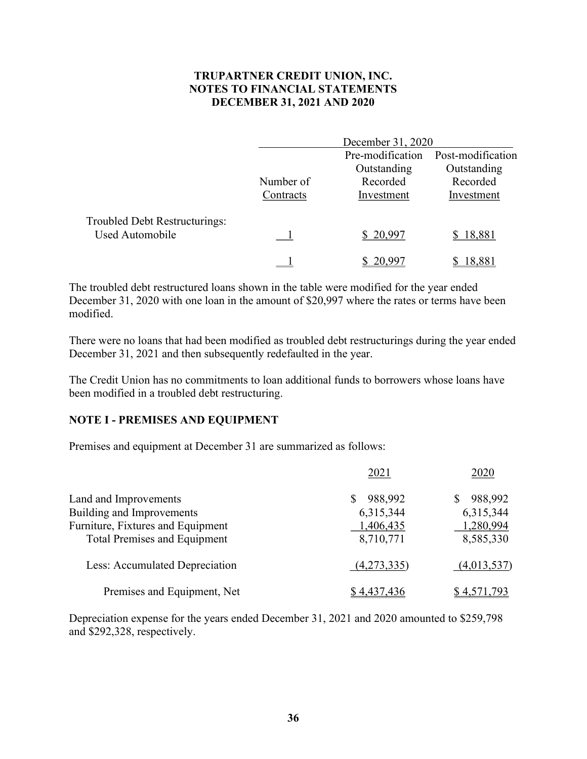|                               |           | December 31, 2020 |                   |
|-------------------------------|-----------|-------------------|-------------------|
|                               |           | Pre-modification  | Post-modification |
|                               |           | Outstanding       | Outstanding       |
|                               | Number of | Recorded          | Recorded          |
|                               | Contracts | Investment        | Investment        |
| Troubled Debt Restructurings: |           |                   |                   |
| Used Automobile               |           | \$20,997          | \$18,881          |
|                               |           | 20.99             | 18.881            |

The troubled debt restructured loans shown in the table were modified for the year ended December 31, 2020 with one loan in the amount of \$20,997 where the rates or terms have been modified.

There were no loans that had been modified as troubled debt restructurings during the year ended December 31, 2021 and then subsequently redefaulted in the year.

The Credit Union has no commitments to loan additional funds to borrowers whose loans have been modified in a troubled debt restructuring.

#### NOTE I - PREMISES AND EQUIPMENT

Premises and equipment at December 31 are summarized as follows:

|                                     | 2021         | 2020        |
|-------------------------------------|--------------|-------------|
| Land and Improvements               | 988,992<br>S | 988,992     |
| <b>Building and Improvements</b>    | 6,315,344    | 6,315,344   |
| Furniture, Fixtures and Equipment   | 1,406,435    | 1,280,994   |
| <b>Total Premises and Equipment</b> | 8,710,771    | 8,585,330   |
| Less: Accumulated Depreciation      | (4,273,335)  | (4,013,537) |
| Premises and Equipment, Net         | \$4,437,436  | \$4,571,793 |

Depreciation expense for the years ended December 31, 2021 and 2020 amounted to \$259,798 and \$292,328, respectively.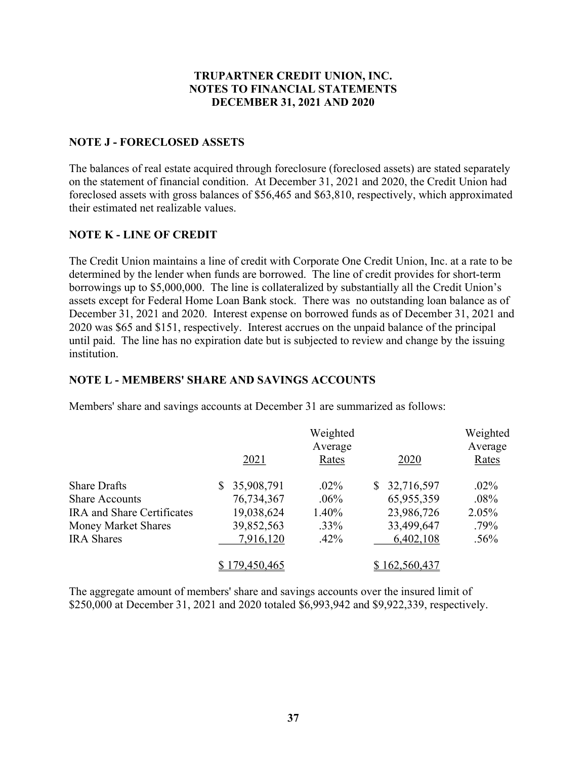# NOTE J - FORECLOSED ASSETS

The balances of real estate acquired through foreclosure (foreclosed assets) are stated separately on the statement of financial condition. At December 31, 2021 and 2020, the Credit Union had foreclosed assets with gross balances of \$56,465 and \$63,810, respectively, which approximated their estimated net realizable values.

# NOTE K - LINE OF CREDIT

The Credit Union maintains a line of credit with Corporate One Credit Union, Inc. at a rate to be determined by the lender when funds are borrowed. The line of credit provides for short-term borrowings up to \$5,000,000. The line is collateralized by substantially all the Credit Union's assets except for Federal Home Loan Bank stock. There was no outstanding loan balance as of December 31, 2021 and 2020. Interest expense on borrowed funds as of December 31, 2021 and 2020 was \$65 and \$151, respectively. Interest accrues on the unpaid balance of the principal until paid. The line has no expiration date but is subjected to review and change by the issuing institution.

#### NOTE L - MEMBERS' SHARE AND SAVINGS ACCOUNTS

|                            |               | Weighted<br>Average |               | Weighted<br>Average |
|----------------------------|---------------|---------------------|---------------|---------------------|
|                            | 2021          | Rates               | 2020          | Rates               |
| <b>Share Drafts</b>        | 35,908,791    | $.02\%$             | 32,716,597    | $.02\%$             |
| <b>Share Accounts</b>      | 76,734,367    | $.06\%$             | 65,955,359    | $.08\%$             |
| IRA and Share Certificates | 19,038,624    | 1.40%               | 23,986,726    | 2.05%               |
| Money Market Shares        | 39,852,563    | $.33\%$             | 33,499,647    | .79%                |
| <b>IRA</b> Shares          | 7,916,120     | $.42\%$             | 6,402,108     | .56%                |
|                            | \$179,450,465 |                     | \$162,560,437 |                     |

Members' share and savings accounts at December 31 are summarized as follows:

The aggregate amount of members' share and savings accounts over the insured limit of \$250,000 at December 31, 2021 and 2020 totaled \$6,993,942 and \$9,922,339, respectively.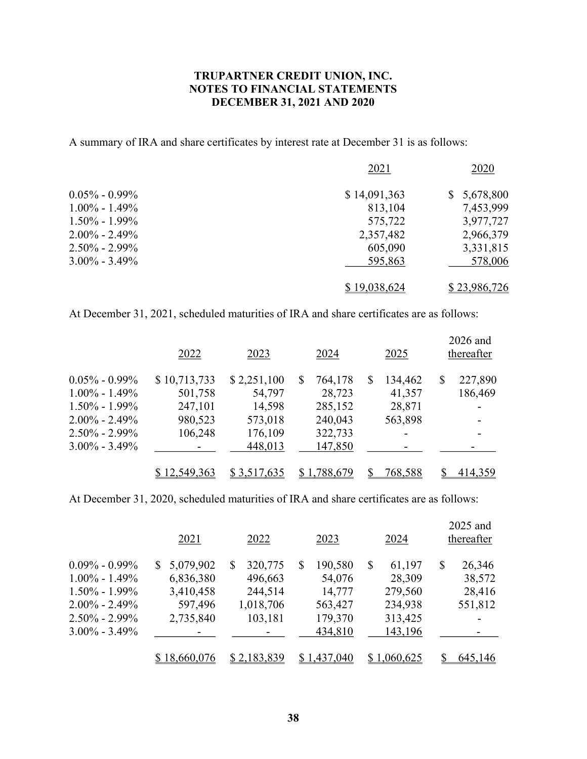A summary of IRA and share certificates by interest rate at December 31 is as follows:

|                   | 2021         | 2020         |
|-------------------|--------------|--------------|
| $0.05\% - 0.99\%$ | \$14,091,363 | \$5,678,800  |
| $1.00\% - 1.49\%$ | 813,104      | 7,453,999    |
| $1.50\% - 1.99\%$ | 575,722      | 3,977,727    |
| $2.00\% - 2.49\%$ | 2,357,482    | 2,966,379    |
| $2.50\% - 2.99\%$ | 605,090      | 3,331,815    |
| $3.00\% - 3.49\%$ | 595,863      | 578,006      |
|                   | \$19,038,624 | \$23,986,726 |

At December 31, 2021, scheduled maturities of IRA and share certificates are as follows:

|                     | 2022                     | 2023        | 2024          | 2025          | 2026 and<br>thereafter |
|---------------------|--------------------------|-------------|---------------|---------------|------------------------|
| $0.05\%$ - $0.99\%$ | \$10,713,733             | \$2,251,100 | 764,178<br>\$ | 134,462<br>\$ | \$<br>227,890          |
| $1.00\% - 1.49\%$   | 501,758                  | 54,797      | 28,723        | 41,357        | 186,469                |
| $1.50\% - 1.99\%$   | 247,101                  | 14,598      | 285,152       | 28,871        |                        |
| $2.00\% - 2.49\%$   | 980,523                  | 573,018     | 240,043       | 563,898       |                        |
| 2.50% - 2.99%       | 106,248                  | 176,109     | 322,733       |               |                        |
| $3.00\% - 3.49\%$   | $\overline{\phantom{a}}$ | 448,013     | 147,850       |               |                        |
|                     | \$12,549,363             | \$3,517,635 | \$1,788,679   | 768,588       | 414,359                |

At December 31, 2020, scheduled maturities of IRA and share certificates are as follows:

|                   | 2021            | 2022          | 2023         | 2024        | 2025 and<br>thereafter |
|-------------------|-----------------|---------------|--------------|-------------|------------------------|
| $0.09\% - 0.99\%$ | 5,079,902<br>S. | 320,775<br>\$ | 190,580<br>S | 61,197<br>S | 26,346<br>\$           |
| $1.00\% - 1.49\%$ | 6,836,380       | 496,663       | 54,076       | 28,309      | 38,572                 |
| $1.50\% - 1.99\%$ | 3,410,458       | 244,514       | 14,777       | 279,560     | 28,416                 |
| $2.00\% - 2.49\%$ | 597,496         | 1,018,706     | 563,427      | 234,938     | 551,812                |
| $2.50\% - 2.99\%$ | 2,735,840       | 103,181       | 179,370      | 313,425     |                        |
| $3.00\% - 3.49\%$ |                 |               | 434,810      | 143,196     |                        |
|                   | \$18,660,076    | \$2,183,839   | \$1,437,040  | \$1,060,625 | 645,146                |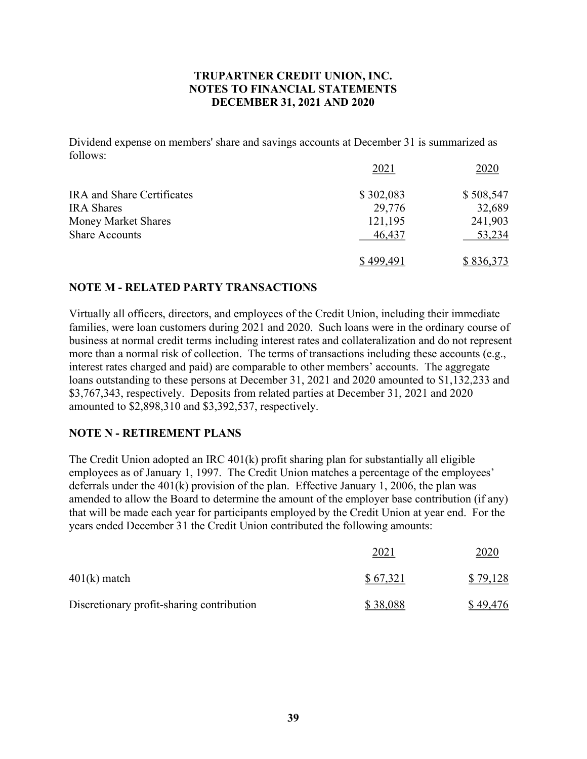Dividend expense on members' share and savings accounts at December 31 is summarized as follows:

|                            | 2021      | 2020      |
|----------------------------|-----------|-----------|
| IRA and Share Certificates | \$302,083 | \$508,547 |
| <b>IRA</b> Shares          | 29,776    | 32,689    |
| Money Market Shares        | 121,195   | 241,903   |
| <b>Share Accounts</b>      | 46,437    | 53,234    |
|                            | 499,491   | \$836,373 |

# NOTE M - RELATED PARTY TRANSACTIONS

Virtually all officers, directors, and employees of the Credit Union, including their immediate families, were loan customers during 2021 and 2020. Such loans were in the ordinary course of business at normal credit terms including interest rates and collateralization and do not represent more than a normal risk of collection. The terms of transactions including these accounts (e.g., interest rates charged and paid) are comparable to other members' accounts. The aggregate loans outstanding to these persons at December 31, 2021 and 2020 amounted to \$1,132,233 and \$3,767,343, respectively. Deposits from related parties at December 31, 2021 and 2020 amounted to \$2,898,310 and \$3,392,537, respectively.

# NOTE N - RETIREMENT PLANS

The Credit Union adopted an IRC 401(k) profit sharing plan for substantially all eligible employees as of January 1, 1997. The Credit Union matches a percentage of the employees' deferrals under the 401(k) provision of the plan. Effective January 1, 2006, the plan was amended to allow the Board to determine the amount of the employer base contribution (if any) that will be made each year for participants employed by the Credit Union at year end. For the years ended December 31 the Credit Union contributed the following amounts:

|                                           | 2021     | 2020     |
|-------------------------------------------|----------|----------|
| $401(k)$ match                            | \$67,321 | \$79,128 |
| Discretionary profit-sharing contribution | \$38,088 | \$49,476 |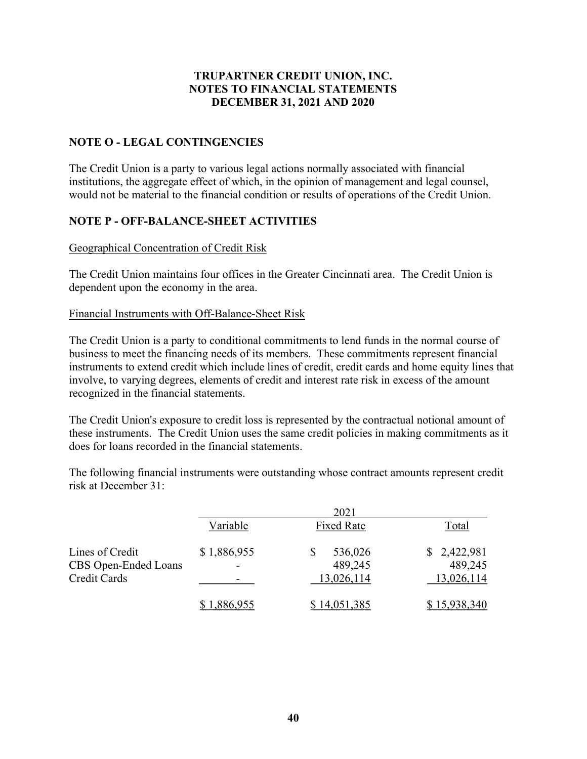# NOTE O - LEGAL CONTINGENCIES

The Credit Union is a party to various legal actions normally associated with financial institutions, the aggregate effect of which, in the opinion of management and legal counsel, would not be material to the financial condition or results of operations of the Credit Union.

# NOTE P - OFF-BALANCE-SHEET ACTIVITIES

#### Geographical Concentration of Credit Risk

The Credit Union maintains four offices in the Greater Cincinnati area. The Credit Union is dependent upon the economy in the area.

#### Financial Instruments with Off-Balance-Sheet Risk

The Credit Union is a party to conditional commitments to lend funds in the normal course of business to meet the financing needs of its members. These commitments represent financial instruments to extend credit which include lines of credit, credit cards and home equity lines that involve, to varying degrees, elements of credit and interest rate risk in excess of the amount recognized in the financial statements.

The Credit Union's exposure to credit loss is represented by the contractual notional amount of these instruments. The Credit Union uses the same credit policies in making commitments as it does for loans recorded in the financial statements.

The following financial instruments were outstanding whose contract amounts represent credit risk at December 31:

|                      |             | 2021              |              |
|----------------------|-------------|-------------------|--------------|
|                      | Variable    | <b>Fixed Rate</b> | Total        |
| Lines of Credit      | \$1,886,955 | 536,026           | \$2,422,981  |
| CBS Open-Ended Loans |             | 489,245           | 489,245      |
| <b>Credit Cards</b>  |             | 13,026,114        | 13,026,114   |
|                      | \$1,886,955 | \$14,051,385      | \$15,938,340 |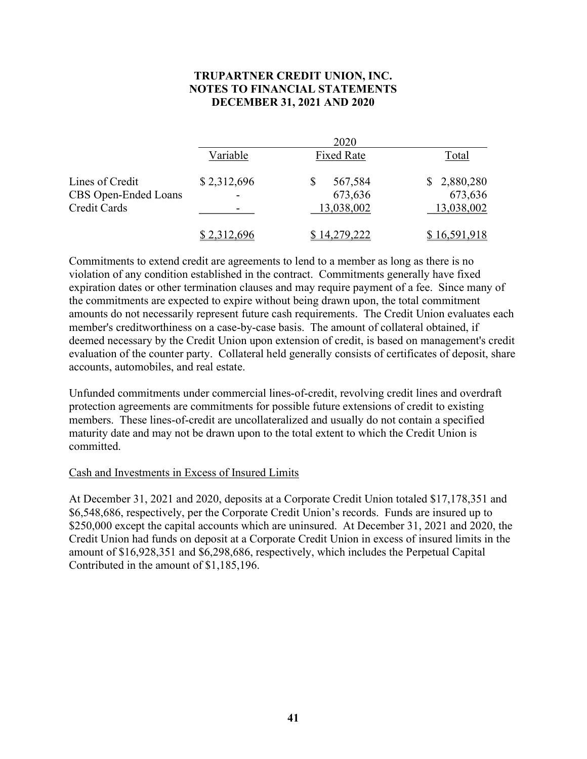|                      |             | 2020              |              |
|----------------------|-------------|-------------------|--------------|
|                      | Variable    | <b>Fixed Rate</b> | Total        |
| Lines of Credit      | \$2,312,696 | 567,584           | \$2,880,280  |
| CBS Open-Ended Loans |             | 673,636           | 673,636      |
| Credit Cards         |             | 13,038,002        | 13,038,002   |
|                      | \$2,312,696 | \$14,279,222      | \$16,591,918 |

Commitments to extend credit are agreements to lend to a member as long as there is no violation of any condition established in the contract. Commitments generally have fixed expiration dates or other termination clauses and may require payment of a fee. Since many of the commitments are expected to expire without being drawn upon, the total commitment amounts do not necessarily represent future cash requirements. The Credit Union evaluates each member's creditworthiness on a case-by-case basis. The amount of collateral obtained, if deemed necessary by the Credit Union upon extension of credit, is based on management's credit evaluation of the counter party. Collateral held generally consists of certificates of deposit, share accounts, automobiles, and real estate.

Unfunded commitments under commercial lines-of-credit, revolving credit lines and overdraft protection agreements are commitments for possible future extensions of credit to existing members. These lines-of-credit are uncollateralized and usually do not contain a specified maturity date and may not be drawn upon to the total extent to which the Credit Union is committed.

#### Cash and Investments in Excess of Insured Limits

At December 31, 2021 and 2020, deposits at a Corporate Credit Union totaled \$17,178,351 and \$6,548,686, respectively, per the Corporate Credit Union's records. Funds are insured up to \$250,000 except the capital accounts which are uninsured. At December 31, 2021 and 2020, the Credit Union had funds on deposit at a Corporate Credit Union in excess of insured limits in the amount of \$16,928,351 and \$6,298,686, respectively, which includes the Perpetual Capital Contributed in the amount of \$1,185,196.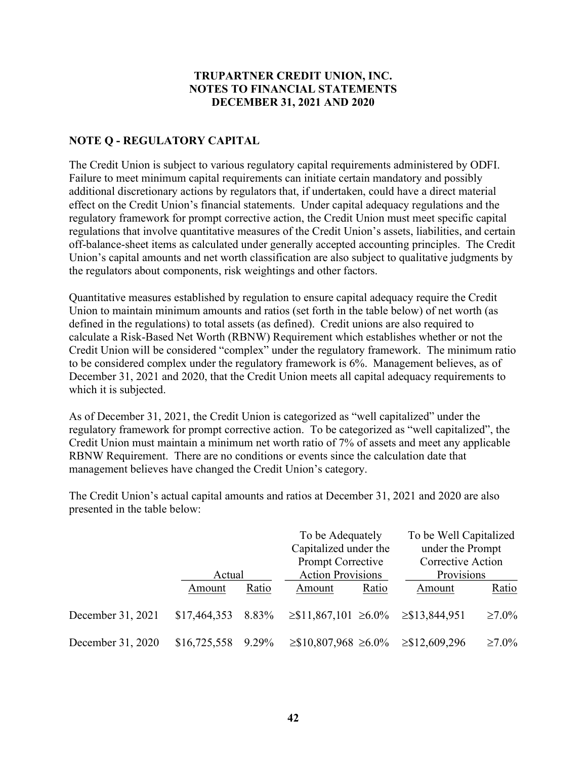# NOTE Q - REGULATORY CAPITAL

The Credit Union is subject to various regulatory capital requirements administered by ODFI. Failure to meet minimum capital requirements can initiate certain mandatory and possibly additional discretionary actions by regulators that, if undertaken, could have a direct material effect on the Credit Union's financial statements. Under capital adequacy regulations and the regulatory framework for prompt corrective action, the Credit Union must meet specific capital regulations that involve quantitative measures of the Credit Union's assets, liabilities, and certain off-balance-sheet items as calculated under generally accepted accounting principles. The Credit Union's capital amounts and net worth classification are also subject to qualitative judgments by the regulators about components, risk weightings and other factors.

Quantitative measures established by regulation to ensure capital adequacy require the Credit Union to maintain minimum amounts and ratios (set forth in the table below) of net worth (as defined in the regulations) to total assets (as defined). Credit unions are also required to calculate a Risk-Based Net Worth (RBNW) Requirement which establishes whether or not the Credit Union will be considered "complex" under the regulatory framework. The minimum ratio to be considered complex under the regulatory framework is 6%. Management believes, as of December 31, 2021 and 2020, that the Credit Union meets all capital adequacy requirements to which it is subjected.

As of December 31, 2021, the Credit Union is categorized as "well capitalized" under the regulatory framework for prompt corrective action. To be categorized as "well capitalized", the Credit Union must maintain a minimum net worth ratio of 7% of assets and meet any applicable RBNW Requirement. There are no conditions or events since the calculation date that management believes have changed the Credit Union's category.

 To be Adequately To be Well Capitalized Capitalized under the under the Prompt Prompt Corrective Corrective Action Actual Action Provisions Provisions Amount Ratio Amount Ratio Amount Ratio December 31, 2021 \$17,464,353 8.83% ≥\$11,867,101 ≥6.0% ≥\$13,844,951 ≥7.0% December 31, 2020 \$16,725,558 9.29% ≥\$10,807,968 ≥6.0% ≥\$12,609,296 ≥7.0%

The Credit Union's actual capital amounts and ratios at December 31, 2021 and 2020 are also presented in the table below: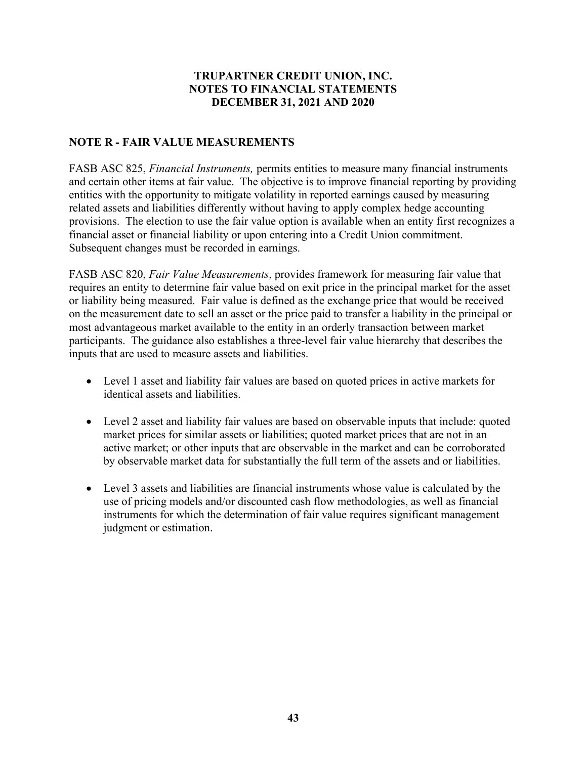# NOTE R - FAIR VALUE MEASUREMENTS

FASB ASC 825, Financial Instruments, permits entities to measure many financial instruments and certain other items at fair value. The objective is to improve financial reporting by providing entities with the opportunity to mitigate volatility in reported earnings caused by measuring related assets and liabilities differently without having to apply complex hedge accounting provisions. The election to use the fair value option is available when an entity first recognizes a financial asset or financial liability or upon entering into a Credit Union commitment. Subsequent changes must be recorded in earnings.

FASB ASC 820, Fair Value Measurements, provides framework for measuring fair value that requires an entity to determine fair value based on exit price in the principal market for the asset or liability being measured. Fair value is defined as the exchange price that would be received on the measurement date to sell an asset or the price paid to transfer a liability in the principal or most advantageous market available to the entity in an orderly transaction between market participants. The guidance also establishes a three-level fair value hierarchy that describes the inputs that are used to measure assets and liabilities.

- Level 1 asset and liability fair values are based on quoted prices in active markets for identical assets and liabilities.
- Level 2 asset and liability fair values are based on observable inputs that include: quoted market prices for similar assets or liabilities; quoted market prices that are not in an active market; or other inputs that are observable in the market and can be corroborated by observable market data for substantially the full term of the assets and or liabilities.
- Level 3 assets and liabilities are financial instruments whose value is calculated by the use of pricing models and/or discounted cash flow methodologies, as well as financial instruments for which the determination of fair value requires significant management judgment or estimation.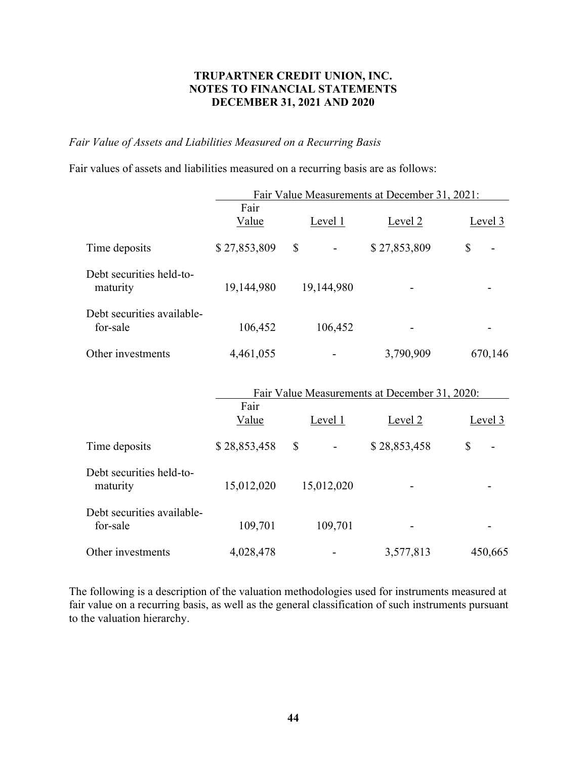#### Fair Value of Assets and Liabilities Measured on a Recurring Basis

Fair values of assets and liabilities measured on a recurring basis are as follows:

|                                        | Fair Value Measurements at December 31, 2021:         |              |              |           |
|----------------------------------------|-------------------------------------------------------|--------------|--------------|-----------|
|                                        | Fair<br>Value                                         | Level $1$    | Level 2      | Level $3$ |
| Time deposits                          | \$27,853,809                                          | \$           | \$27,853,809 | \$        |
| Debt securities held-to-<br>maturity   | 19,144,980                                            | 19,144,980   |              |           |
| Debt securities available-<br>for-sale | 106,452                                               | 106,452      |              |           |
| Other investments                      | 4,461,055                                             |              | 3,790,909    | 670,146   |
|                                        | Fair Value Measurements at December 31, 2020:<br>Fair |              |              |           |
|                                        | Value                                                 | Level $1$    | Level 2      | Level $3$ |
| Time deposits                          | \$28,853,458                                          | $\mathbb{S}$ | \$28,853,458 | \$        |
| Debt securities held-to-<br>maturity   | 15,012,020                                            | 15,012,020   |              |           |
| Debt securities available-<br>for-sale | 109,701                                               | 109,701      |              |           |
| Other investments                      | 4,028,478                                             |              | 3,577,813    | 450,665   |

The following is a description of the valuation methodologies used for instruments measured at fair value on a recurring basis, as well as the general classification of such instruments pursuant to the valuation hierarchy.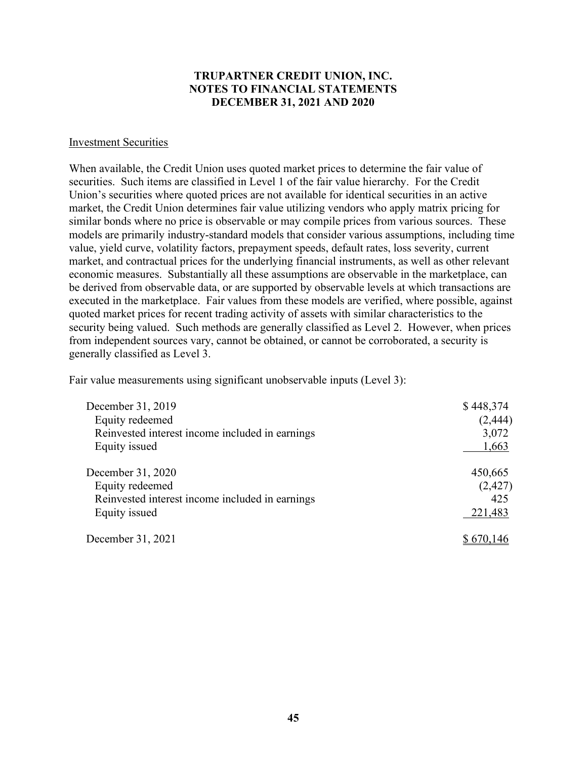#### Investment Securities

When available, the Credit Union uses quoted market prices to determine the fair value of securities. Such items are classified in Level 1 of the fair value hierarchy. For the Credit Union's securities where quoted prices are not available for identical securities in an active market, the Credit Union determines fair value utilizing vendors who apply matrix pricing for similar bonds where no price is observable or may compile prices from various sources. These models are primarily industry-standard models that consider various assumptions, including time value, yield curve, volatility factors, prepayment speeds, default rates, loss severity, current market, and contractual prices for the underlying financial instruments, as well as other relevant economic measures. Substantially all these assumptions are observable in the marketplace, can be derived from observable data, or are supported by observable levels at which transactions are executed in the marketplace. Fair values from these models are verified, where possible, against quoted market prices for recent trading activity of assets with similar characteristics to the security being valued. Such methods are generally classified as Level 2. However, when prices from independent sources vary, cannot be obtained, or cannot be corroborated, a security is generally classified as Level 3.

Fair value measurements using significant unobservable inputs (Level 3):

| December 31, 2019                                                  | \$448,374         |
|--------------------------------------------------------------------|-------------------|
| Equity redeemed<br>Reinvested interest income included in earnings | (2, 444)<br>3,072 |
| Equity issued                                                      | 1,663             |
| December 31, 2020                                                  | 450,665           |
| Equity redeemed                                                    | (2,427)           |
| Reinvested interest income included in earnings                    | 425               |
| Equity issued                                                      | 221,483           |
| December 31, 2021                                                  | \$670,146         |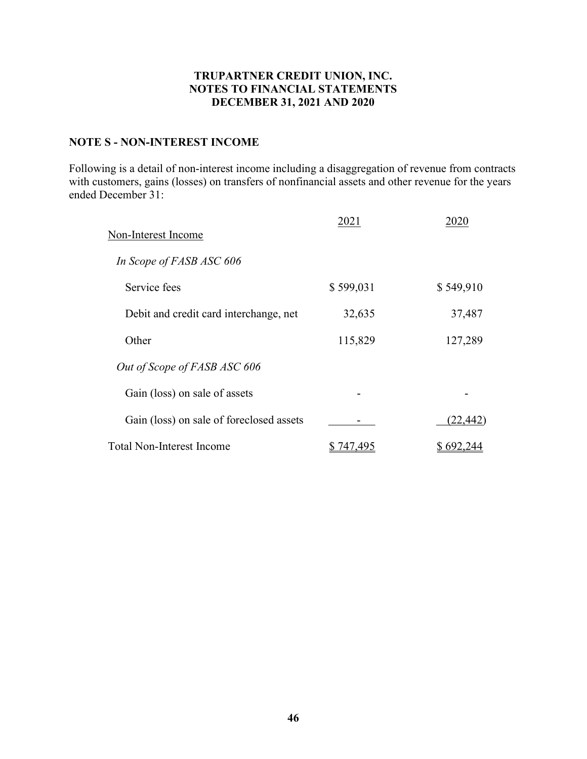# NOTE S - NON-INTEREST INCOME

Following is a detail of non-interest income including a disaggregation of revenue from contracts with customers, gains (losses) on transfers of nonfinancial assets and other revenue for the years ended December 31:

| Non-Interest Income                      | 2021            | 2020      |
|------------------------------------------|-----------------|-----------|
| In Scope of FASB ASC 606                 |                 |           |
| Service fees                             | \$599,031       | \$549,910 |
| Debit and credit card interchange, net   | 32,635          | 37,487    |
| Other                                    | 115,829         | 127,289   |
| Out of Scope of FASB ASC 606             |                 |           |
| Gain (loss) on sale of assets            |                 |           |
| Gain (loss) on sale of foreclosed assets |                 | (22,442)  |
| <b>Total Non-Interest Income</b>         | 74 <u>7,495</u> | 692.      |